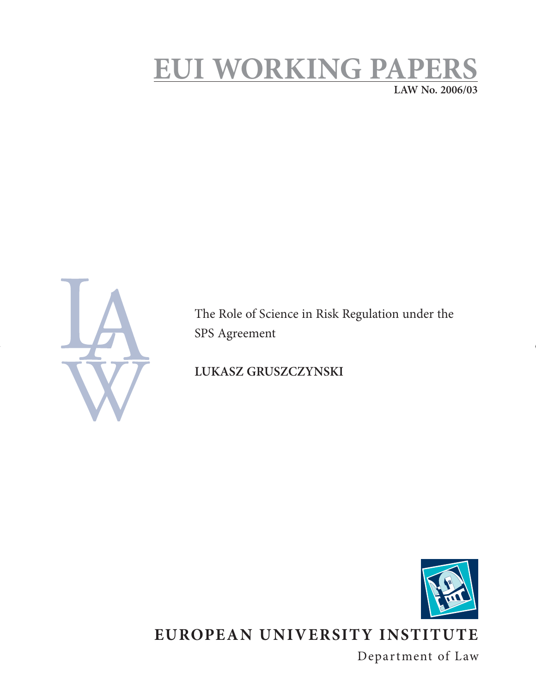# **EUI WORKING PAPERS**

**LAW No. 2006/03**



The Role of Science in Risk Regulation under the SPS Agreement

**LUKASZ GRUSZCZYNSKI** 



# **EUROPEAN UNIVERSITY INSTITUTE**

Department of Law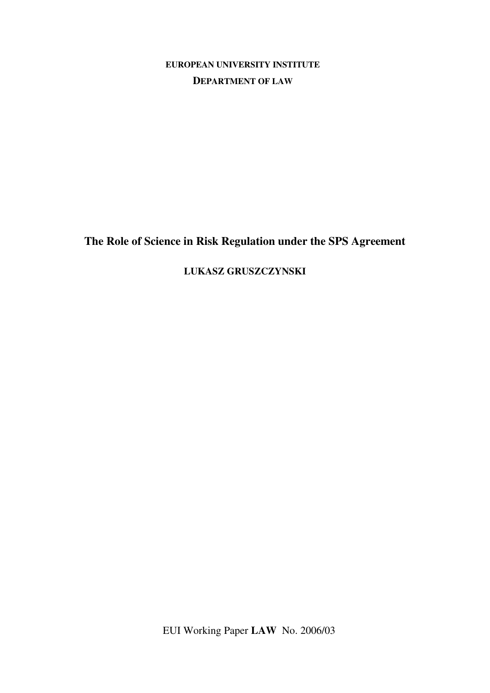**EUROPEAN UNIVERSITY INSTITUTE DEPARTMENT OF LAW**

**The Role of Science in Risk Regulation under the SPS Agreement** 

**LUKASZ GRUSZCZYNSKI** 

EUI Working Paper **LAW** No. 2006/03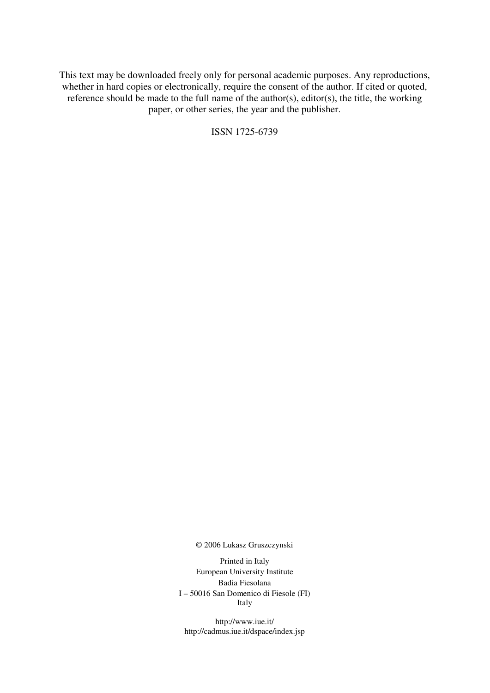This text may be downloaded freely only for personal academic purposes. Any reproductions, whether in hard copies or electronically, require the consent of the author. If cited or quoted, reference should be made to the full name of the author(s), editor(s), the title, the working paper, or other series, the year and the publisher.

ISSN 1725-6739

© 2006 Lukasz Gruszczynski

Printed in Italy European University Institute Badia Fiesolana I – 50016 San Domenico di Fiesole (FI) Italy

http://www.iue.it/ http://cadmus.iue.it/dspace/index.jsp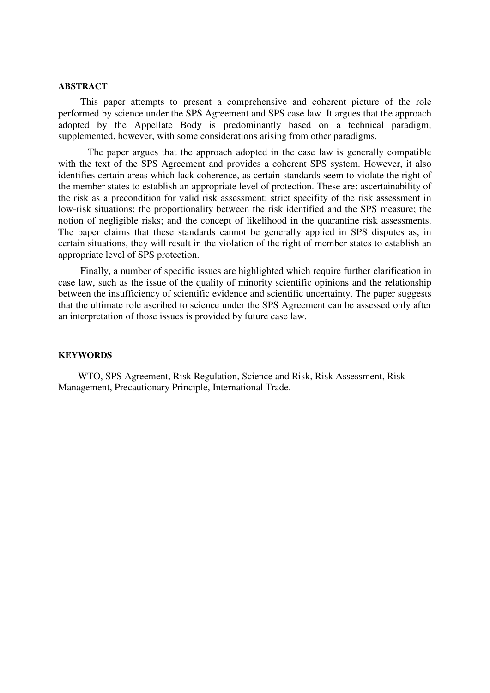#### **ABSTRACT**

This paper attempts to present a comprehensive and coherent picture of the role performed by science under the SPS Agreement and SPS case law. It argues that the approach adopted by the Appellate Body is predominantly based on a technical paradigm, supplemented, however, with some considerations arising from other paradigms.

 The paper argues that the approach adopted in the case law is generally compatible with the text of the SPS Agreement and provides a coherent SPS system. However, it also identifies certain areas which lack coherence, as certain standards seem to violate the right of the member states to establish an appropriate level of protection. These are: ascertainability of the risk as a precondition for valid risk assessment; strict specifity of the risk assessment in low-risk situations; the proportionality between the risk identified and the SPS measure; the notion of negligible risks; and the concept of likelihood in the quarantine risk assessments. The paper claims that these standards cannot be generally applied in SPS disputes as, in certain situations, they will result in the violation of the right of member states to establish an appropriate level of SPS protection.

Finally, a number of specific issues are highlighted which require further clarification in case law, such as the issue of the quality of minority scientific opinions and the relationship between the insufficiency of scientific evidence and scientific uncertainty. The paper suggests that the ultimate role ascribed to science under the SPS Agreement can be assessed only after an interpretation of those issues is provided by future case law.

# **KEYWORDS**

 WTO, SPS Agreement, Risk Regulation, Science and Risk, Risk Assessment, Risk Management, Precautionary Principle, International Trade.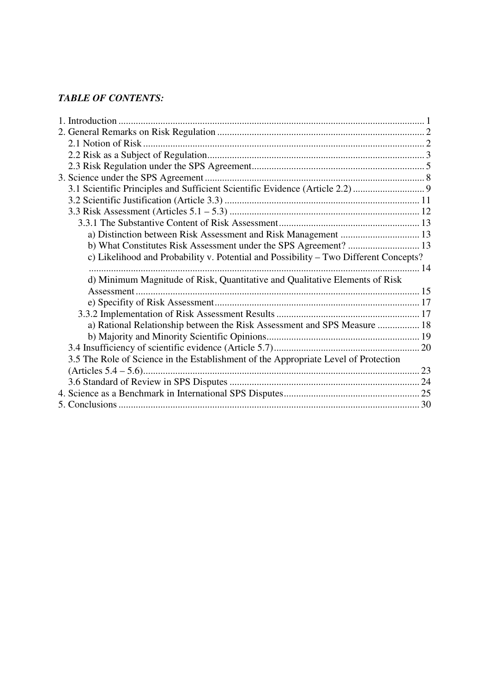# *TABLE OF CONTENTS:*

| a) Distinction between Risk Assessment and Risk Management  13                       |  |
|--------------------------------------------------------------------------------------|--|
|                                                                                      |  |
| c) Likelihood and Probability v. Potential and Possibility – Two Different Concepts? |  |
|                                                                                      |  |
| d) Minimum Magnitude of Risk, Quantitative and Qualitative Elements of Risk          |  |
| Assessment                                                                           |  |
|                                                                                      |  |
|                                                                                      |  |
| a) Rational Relationship between the Risk Assessment and SPS Measure  18             |  |
|                                                                                      |  |
|                                                                                      |  |
| 3.5 The Role of Science in the Establishment of the Appropriate Level of Protection  |  |
|                                                                                      |  |
|                                                                                      |  |
|                                                                                      |  |
|                                                                                      |  |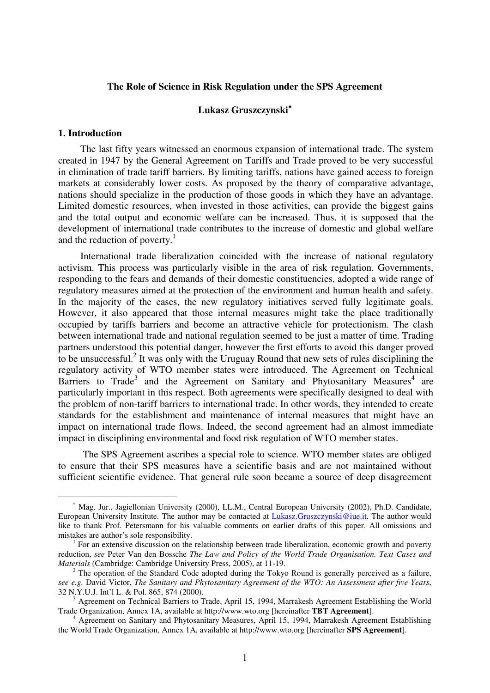# **The Role of Science in Risk Regulation under the SPS Agreement**

# **Lukasz Gruszczynski**<sup>∗</sup>

#### **1. Introduction**

 $\overline{a}$ 

The last fifty years witnessed an enormous expansion of international trade. The system created in 1947 by the General Agreement on Tariffs and Trade proved to be very successful in elimination of trade tariff barriers. By limiting tariffs, nations have gained access to foreign markets at considerably lower costs. As proposed by the theory of comparative advantage, nations should specialize in the production of those goods in which they have an advantage. Limited domestic resources, when invested in those activities, can provide the biggest gains and the total output and economic welfare can be increased. Thus, it is supposed that the development of international trade contributes to the increase of domestic and global welfare and the reduction of poverty.<sup>1</sup>

International trade liberalization coincided with the increase of national regulatory activism. This process was particularly visible in the area of risk regulation. Governments, responding to the fears and demands of their domestic constituencies, adopted a wide range of regulatory measures aimed at the protection of the environment and human health and safety. In the majority of the cases, the new regulatory initiatives served fully legitimate goals. However, it also appeared that those internal measures might take the place traditionally occupied by tariffs barriers and become an attractive vehicle for protectionism. The clash between international trade and national regulation seemed to be just a matter of time. Trading partners understood this potential danger, however the first efforts to avoid this danger proved to be unsuccessful.<sup>2</sup> It was only with the Uruguay Round that new sets of rules disciplining the regulatory activity of WTO member states were introduced. The Agreement on Technical Barriers to Trade<sup>3</sup> and the Agreement on Sanitary and Phytosanitary Measures<sup>4</sup> are particularly important in this respect. Both agreements were specifically designed to deal with the problem of non-tariff barriers to international trade. In other words, they intended to create standards for the establishment and maintenance of internal measures that might have an impact on international trade flows. Indeed, the second agreement had an almost immediate impact in disciplining environmental and food risk regulation of WTO member states.

 The SPS Agreement ascribes a special role to science. WTO member states are obliged to ensure that their SPS measures have a scientific basis and are not maintained without sufficient scientific evidence. That general rule soon became a source of deep disagreement

<sup>∗</sup> Mag. Jur., Jagiellonian University (2000), LL.M., Central European University (2002), Ph.D. Candidate, European University Institute. The author may be contacted at Lukasz.Gruszczynski@iue.it. The author would like to thank Prof. Petersmann for his valuable comments on earlier drafts of this paper. All omissions and mistakes are author's sole responsibility.

<sup>&</sup>lt;sup>1</sup> For an extensive discussion on the relationship between trade liberalization, economic growth and poverty reduction, *see* Peter Van den Bossche *The Law and Policy of the World Trade Organisation. Text Cases and Materials* (Cambridge: Cambridge University Press, 2005), at 11-19.

 $2^2$  The operation of the Standard Code adopted during the Tokyo Round is generally perceived as a failure, *see e.g.* David Victor, *The Sanitary and Phytosanitary Agreement of the WTO: An Assessment after five Years*, 32 N.Y.U.J. Int'l L. & Pol. 865, 874 (2000).

<sup>3</sup> Agreement on Technical Barriers to Trade, April 15, 1994, Marrakesh Agreement Establishing the World Trade Organization, Annex 1A, available at http://www.wto.org [hereinafter **TBT Agreement**].

<sup>&</sup>lt;sup>4</sup> Agreement on Sanitary and Phytosanitary Measures, April 15, 1994, Marrakesh Agreement Establishing the World Trade Organization, Annex 1A, available at http://www.wto.org [hereinafter **SPS Agreement**].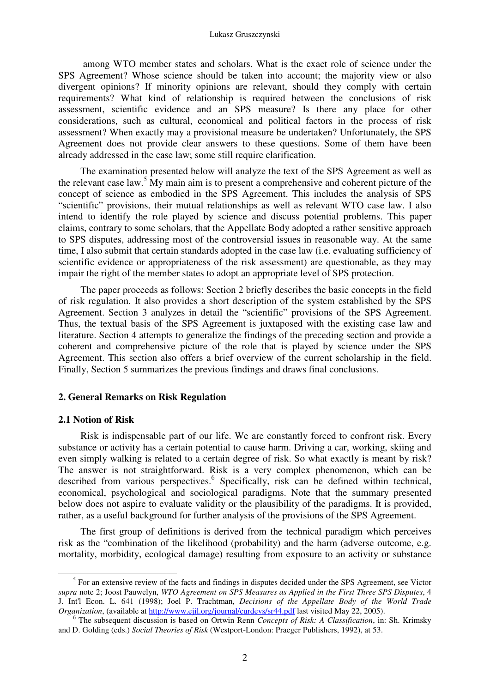among WTO member states and scholars. What is the exact role of science under the SPS Agreement? Whose science should be taken into account; the majority view or also divergent opinions? If minority opinions are relevant, should they comply with certain requirements? What kind of relationship is required between the conclusions of risk assessment, scientific evidence and an SPS measure? Is there any place for other considerations, such as cultural, economical and political factors in the process of risk assessment? When exactly may a provisional measure be undertaken? Unfortunately, the SPS Agreement does not provide clear answers to these questions. Some of them have been already addressed in the case law; some still require clarification.

The examination presented below will analyze the text of the SPS Agreement as well as the relevant case law.<sup>5</sup> My main aim is to present a comprehensive and coherent picture of the concept of science as embodied in the SPS Agreement. This includes the analysis of SPS "scientific" provisions, their mutual relationships as well as relevant WTO case law. I also intend to identify the role played by science and discuss potential problems. This paper claims, contrary to some scholars, that the Appellate Body adopted a rather sensitive approach to SPS disputes, addressing most of the controversial issues in reasonable way. At the same time, I also submit that certain standards adopted in the case law (i.e. evaluating sufficiency of scientific evidence or appropriateness of the risk assessment) are questionable, as they may impair the right of the member states to adopt an appropriate level of SPS protection.

The paper proceeds as follows: Section 2 briefly describes the basic concepts in the field of risk regulation. It also provides a short description of the system established by the SPS Agreement. Section 3 analyzes in detail the "scientific" provisions of the SPS Agreement. Thus, the textual basis of the SPS Agreement is juxtaposed with the existing case law and literature. Section 4 attempts to generalize the findings of the preceding section and provide a coherent and comprehensive picture of the role that is played by science under the SPS Agreement. This section also offers a brief overview of the current scholarship in the field. Finally, Section 5 summarizes the previous findings and draws final conclusions.

#### **2. General Remarks on Risk Regulation**

#### **2.1 Notion of Risk**

-

Risk is indispensable part of our life. We are constantly forced to confront risk. Every substance or activity has a certain potential to cause harm. Driving a car, working, skiing and even simply walking is related to a certain degree of risk. So what exactly is meant by risk? The answer is not straightforward. Risk is a very complex phenomenon, which can be described from various perspectives.<sup>6</sup> Specifically, risk can be defined within technical, economical, psychological and sociological paradigms. Note that the summary presented below does not aspire to evaluate validity or the plausibility of the paradigms. It is provided, rather, as a useful background for further analysis of the provisions of the SPS Agreement.

The first group of definitions is derived from the technical paradigm which perceives risk as the "combination of the likelihood (probability) and the harm (adverse outcome, e.g. mortality, morbidity, ecological damage) resulting from exposure to an activity or substance

<sup>&</sup>lt;sup>5</sup> For an extensive review of the facts and findings in disputes decided under the SPS Agreement, see Victor *supra* note 2; Joost Pauwelyn, *WTO Agreement on SPS Measures as Applied in the First Three SPS Disputes*, 4 J. Int'l Econ. L. 641 (1998); Joel P. Trachtman, *Decisions of the Appellate Body of the World Trade Organization*, (available at http://www.ejil.org/journal/curdevs/sr44.pdf last visited May 22, 2005).

<sup>6</sup> The subsequent discussion is based on Ortwin Renn *Concepts of Risk: A Classification*, in: Sh. Krimsky and D. Golding (eds.) *Social Theories of Risk* (Westport-London: Praeger Publishers, 1992), at 53.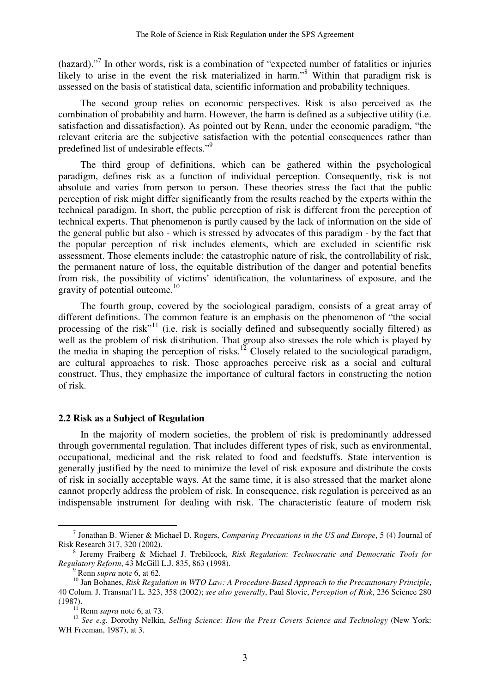(hazard)."<sup>7</sup> In other words, risk is a combination of "expected number of fatalities or injuries likely to arise in the event the risk materialized in harm."<sup>8</sup> Within that paradigm risk is assessed on the basis of statistical data, scientific information and probability techniques.

The second group relies on economic perspectives. Risk is also perceived as the combination of probability and harm. However, the harm is defined as a subjective utility (i.e. satisfaction and dissatisfaction). As pointed out by Renn, under the economic paradigm, "the relevant criteria are the subjective satisfaction with the potential consequences rather than predefined list of undesirable effects."<sup>9</sup>

The third group of definitions, which can be gathered within the psychological paradigm, defines risk as a function of individual perception. Consequently, risk is not absolute and varies from person to person. These theories stress the fact that the public perception of risk might differ significantly from the results reached by the experts within the technical paradigm. In short, the public perception of risk is different from the perception of technical experts. That phenomenon is partly caused by the lack of information on the side of the general public but also - which is stressed by advocates of this paradigm - by the fact that the popular perception of risk includes elements, which are excluded in scientific risk assessment. Those elements include: the catastrophic nature of risk, the controllability of risk, the permanent nature of loss, the equitable distribution of the danger and potential benefits from risk, the possibility of victims' identification, the voluntariness of exposure, and the gravity of potential outcome.<sup>10</sup>

The fourth group, covered by the sociological paradigm, consists of a great array of different definitions. The common feature is an emphasis on the phenomenon of "the social processing of the risk<sup>"11</sup> (i.e. risk is socially defined and subsequently socially filtered) as well as the problem of risk distribution. That group also stresses the role which is played by the media in shaping the perception of risks.<sup>12</sup> Closely related to the sociological paradigm, are cultural approaches to risk. Those approaches perceive risk as a social and cultural construct. Thus, they emphasize the importance of cultural factors in constructing the notion of risk.

#### **2.2 Risk as a Subject of Regulation**

In the majority of modern societies, the problem of risk is predominantly addressed through governmental regulation. That includes different types of risk, such as environmental, occupational, medicinal and the risk related to food and feedstuffs. State intervention is generally justified by the need to minimize the level of risk exposure and distribute the costs of risk in socially acceptable ways. At the same time, it is also stressed that the market alone cannot properly address the problem of risk. In consequence, risk regulation is perceived as an indispensable instrument for dealing with risk. The characteristic feature of modern risk

<sup>7</sup> Jonathan B. Wiener & Michael D. Rogers, *Comparing Precautions in the US and Europe*, 5 (4) Journal of Risk Research 317, 320 (2002).

<sup>8</sup> Jeremy Fraiberg & Michael J. Trebilcock, *Risk Regulation: Technocratic and Democratic Tools for Regulatory Reform*, 43 McGill L.J. 835, 863 (1998).

 $9^9$  Renn *supra* note 6, at 62.

<sup>&</sup>lt;sup>10</sup> Jan Bohanes, *Risk Regulation in WTO Law: A Procedure-Based Approach to the Precautionary Principle*, 40 Colum. J. Transnat'l L. 323, 358 (2002); *see also generally*, Paul Slovic, *Perception of Risk*, 236 Science 280 (1987).

<sup>11</sup> Renn *supra* note 6, at 73.

<sup>12</sup> *See e.g.* Dorothy Nelkin, *Selling Science: How the Press Covers Science and Technology* (New York: WH Freeman, 1987), at 3.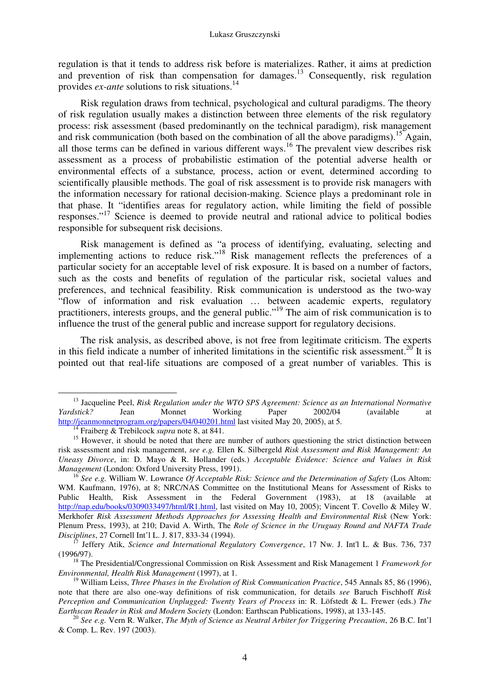regulation is that it tends to address risk before is materializes. Rather, it aims at prediction and prevention of risk than compensation for damages.<sup>13</sup> Consequently, risk regulation provides *ex-ante* solutions to risk situations.<sup>14</sup>

Risk regulation draws from technical, psychological and cultural paradigms. The theory of risk regulation usually makes a distinction between three elements of the risk regulatory process: risk assessment (based predominantly on the technical paradigm), risk management and risk communication (both based on the combination of all the above paradigms).<sup>15</sup> Again, all those terms can be defined in various different ways.<sup>16</sup> The prevalent view describes risk assessment as a process of probabilistic estimation of the potential adverse health or environmental effects of a substance*,* process, action or event*,* determined according to scientifically plausible methods. The goal of risk assessment is to provide risk managers with the information necessary for rational decision-making. Science plays a predominant role in that phase. It "identifies areas for regulatory action, while limiting the field of possible responses."<sup>17</sup> Science is deemed to provide neutral and rational advice to political bodies responsible for subsequent risk decisions.

Risk management is defined as "a process of identifying, evaluating, selecting and implementing actions to reduce risk."<sup>18</sup> Risk management reflects the preferences of a particular society for an acceptable level of risk exposure. It is based on a number of factors, such as the costs and benefits of regulation of the particular risk, societal values and preferences, and technical feasibility. Risk communication is understood as the two-way "flow of information and risk evaluation … between academic experts, regulatory practitioners, interests groups, and the general public."<sup>19</sup> The aim of risk communication is to influence the trust of the general public and increase support for regulatory decisions.

The risk analysis, as described above, is not free from legitimate criticism. The experts in this field indicate a number of inherited limitations in the scientific risk assessment.<sup>20</sup> It is pointed out that real-life situations are composed of a great number of variables. This is

<sup>&</sup>lt;sup>13</sup> Jacqueline Peel, *Risk Regulation under the WTO SPS Agreement: Science as an International Normative Yardstick? Jean Monnet Working Paper 2002/04 (available at Yardstick?* Jean Monnet Working Paper 2002/04 (available at http://jeanmonnetprogram.org/papers/04/040201.html last visited May 20, 2005), at 5.

<sup>14</sup> Fraiberg & Trebilcock *supra* note 8, at 841.

<sup>&</sup>lt;sup>15</sup> However, it should be noted that there are number of authors questioning the strict distinction between risk assessment and risk management, *see e.g.* Ellen K. Silbergeld *Risk Assessment and Risk Management: An Uneasy Divorce*, in: D. Mayo & R. Hollander (eds.) *Acceptable Evidence: Science and Values in Risk Management* (London: Oxford University Press, 1991).

<sup>16</sup> *See e.g.* William W. Lowrance *Of Acceptable Risk: Science and the Determination of Safety* (Los Altom: WM. Kaufmann, 1976), at 8; NRC/NAS Committee on the Institutional Means for Assessment of Risks to Public Health, Risk Assessment in the Federal Government (1983), at 18 (available at http://nap.edu/books/0309033497/html/R1.html, last visited on May 10, 2005); Vincent T. Covello & Miley W. Merkhofer *Risk Assessment Methods Approaches for Assessing Health and Environmental Risk* (New York: Plenum Press, 1993), at 210; David A. Wirth, The *Role of Science in the Uruguay Round and NAFTA Trade Disciplines*, 27 Cornell Int'l L. J. 817, 833-34 (1994).

<sup>17</sup> Jeffery Atik, *Science and International Regulatory Convergence*, 17 Nw. J. Int'l L. & Bus. 736, 737 (1996/97).

<sup>18</sup> The Presidential/Congressional Commission on Risk Assessment and Risk Management 1 *Framework for Environmental, Health Risk Management* (1997), at 1.

<sup>19</sup> William Leiss, *Three Phases in the Evolution of Risk Communication Practice*, 545 Annals 85, 86 (1996), note that there are also one-way definitions of risk communication, for details *see* Baruch Fischhoff *Risk Perception and Communication Unplugged: Twenty Years of Process* in: R. Löfstedt & L. Frewer (eds.) *The Earthscan Reader in Risk and Modern Society* (London: Earthscan Publications, 1998), at 133-145.

<sup>20</sup> *See e.g.* Vern R. Walker, *The Myth of Science as Neutral Arbiter for Triggering Precaution*, 26 B.C. Int'l & Comp. L. Rev. 197 (2003).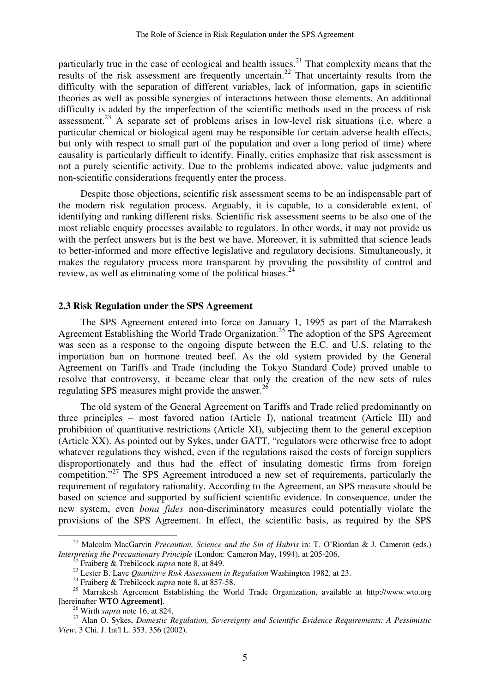particularly true in the case of ecological and health issues.<sup>21</sup> That complexity means that the results of the risk assessment are frequently uncertain.<sup>22</sup> That uncertainty results from the difficulty with the separation of different variables, lack of information, gaps in scientific theories as well as possible synergies of interactions between those elements. An additional difficulty is added by the imperfection of the scientific methods used in the process of risk assessment.<sup>23</sup> A separate set of problems arises in low-level risk situations (i.e. where a particular chemical or biological agent may be responsible for certain adverse health effects, but only with respect to small part of the population and over a long period of time) where causality is particularly difficult to identify. Finally, critics emphasize that risk assessment is not a purely scientific activity. Due to the problems indicated above, value judgments and non-scientific considerations frequently enter the process.

Despite those objections, scientific risk assessment seems to be an indispensable part of the modern risk regulation process. Arguably, it is capable, to a considerable extent, of identifying and ranking different risks. Scientific risk assessment seems to be also one of the most reliable enquiry processes available to regulators. In other words, it may not provide us with the perfect answers but is the best we have. Moreover, it is submitted that science leads to better-informed and more effective legislative and regulatory decisions. Simultaneously, it makes the regulatory process more transparent by providing the possibility of control and review, as well as eliminating some of the political biases. $^{24}$ 

#### **2.3 Risk Regulation under the SPS Agreement**

The SPS Agreement entered into force on January 1, 1995 as part of the Marrakesh Agreement Establishing the World Trade Organization.<sup>25</sup> The adoption of the SPS Agreement was seen as a response to the ongoing dispute between the E.C. and U.S. relating to the importation ban on hormone treated beef. As the old system provided by the General Agreement on Tariffs and Trade (including the Tokyo Standard Code) proved unable to resolve that controversy, it became clear that only the creation of the new sets of rules regulating SPS measures might provide the answer.<sup>26</sup>

The old system of the General Agreement on Tariffs and Trade relied predominantly on three principles – most favored nation (Article I), national treatment (Article III) and prohibition of quantitative restrictions (Article XI), subjecting them to the general exception (Article XX). As pointed out by Sykes, under GATT, "regulators were otherwise free to adopt whatever regulations they wished, even if the regulations raised the costs of foreign suppliers disproportionately and thus had the effect of insulating domestic firms from foreign competition."<sup>27</sup> The SPS Agreement introduced a new set of requirements, particularly the requirement of regulatory rationality. According to the Agreement, an SPS measure should be based on science and supported by sufficient scientific evidence. In consequence, under the new system, even *bona fides* non-discriminatory measures could potentially violate the provisions of the SPS Agreement. In effect, the scientific basis, as required by the SPS

<sup>&</sup>lt;sup>21</sup> Malcolm MacGarvin *Precaution, Science and the Sin of Hubris* in: T. O'Riordan & J. Cameron (eds.) *Interpreting the Precautionary Principle* (London: Cameron May, 1994), at 205-206.

<sup>22</sup> Fraiberg & Trebilcock *supra* note 8, at 849.

<sup>23</sup> Lester B. Lave *Quantitive Risk Assessment in Regulation* Washington 1982, at 23.

<sup>24</sup> Fraiberg & Trebilcock *supra* note 8, at 857-58.

<sup>&</sup>lt;sup>25</sup> Marrakesh Agreement Establishing the World Trade Organization, available at http://www.wto.org [hereinafter **WTO Agreement**].

<sup>26</sup> Wirth *supra* note 16, at 824.

<sup>27</sup> Alan O. Sykes, *Domestic Regulation, Sovereignty and Scientific Evidence Requirements: A Pessimistic View*, 3 Chi. J. Int'l L. 353, 356 (2002).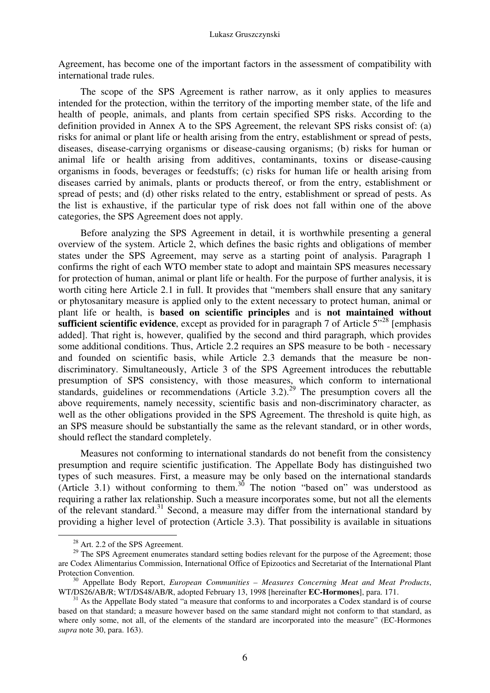Agreement, has become one of the important factors in the assessment of compatibility with international trade rules.

The scope of the SPS Agreement is rather narrow, as it only applies to measures intended for the protection, within the territory of the importing member state, of the life and health of people, animals, and plants from certain specified SPS risks. According to the definition provided in Annex A to the SPS Agreement, the relevant SPS risks consist of: (a) risks for animal or plant life or health arising from the entry, establishment or spread of pests, diseases, disease-carrying organisms or disease-causing organisms; (b) risks for human or animal life or health arising from additives, contaminants, toxins or disease-causing organisms in foods, beverages or feedstuffs; (c) risks for human life or health arising from diseases carried by animals, plants or products thereof, or from the entry, establishment or spread of pests; and (d) other risks related to the entry, establishment or spread of pests. As the list is exhaustive, if the particular type of risk does not fall within one of the above categories, the SPS Agreement does not apply.

Before analyzing the SPS Agreement in detail, it is worthwhile presenting a general overview of the system. Article 2, which defines the basic rights and obligations of member states under the SPS Agreement, may serve as a starting point of analysis. Paragraph 1 confirms the right of each WTO member state to adopt and maintain SPS measures necessary for protection of human, animal or plant life or health. For the purpose of further analysis, it is worth citing here Article 2.1 in full. It provides that "members shall ensure that any sanitary or phytosanitary measure is applied only to the extent necessary to protect human, animal or plant life or health, is **based on scientific principles** and is **not maintained without sufficient scientific evidence**, except as provided for in paragraph 7 of Article 5<sup>"28</sup> [emphasis] added]. That right is, however, qualified by the second and third paragraph, which provides some additional conditions. Thus, Article 2.2 requires an SPS measure to be both - necessary and founded on scientific basis, while Article 2.3 demands that the measure be nondiscriminatory. Simultaneously, Article 3 of the SPS Agreement introduces the rebuttable presumption of SPS consistency, with those measures, which conform to international standards, guidelines or recommendations (Article 3.2).<sup>29</sup> The presumption covers all the above requirements, namely necessity, scientific basis and non-discriminatory character, as well as the other obligations provided in the SPS Agreement. The threshold is quite high, as an SPS measure should be substantially the same as the relevant standard, or in other words, should reflect the standard completely.

Measures not conforming to international standards do not benefit from the consistency presumption and require scientific justification. The Appellate Body has distinguished two types of such measures. First, a measure may be only based on the international standards (Article 3.1) without conforming to them.<sup>30</sup> The notion "based on" was understood as requiring a rather lax relationship. Such a measure incorporates some, but not all the elements of the relevant standard.<sup>31</sup> Second, a measure may differ from the international standard by providing a higher level of protection (Article 3.3). That possibility is available in situations

<sup>&</sup>lt;sup>28</sup> Art. 2.2 of the SPS Agreement.

<sup>&</sup>lt;sup>29</sup> The SPS Agreement enumerates standard setting bodies relevant for the purpose of the Agreement; those are Codex Alimentarius Commission, International Office of Epizootics and Secretariat of the International Plant Protection Convention.

<sup>30</sup> Appellate Body Report, *European Communities – Measures Concerning Meat and Meat Products*, WT/DS26/AB/R; WT/DS48/AB/R, adopted February 13, 1998 [hereinafter **EC-Hormones**], para. 171.

 $31$  As the Appellate Body stated "a measure that conforms to and incorporates a Codex standard is of course based on that standard; a measure however based on the same standard might not conform to that standard, as where only some, not all, of the elements of the standard are incorporated into the measure" (EC-Hormones *supra* note 30, para. 163).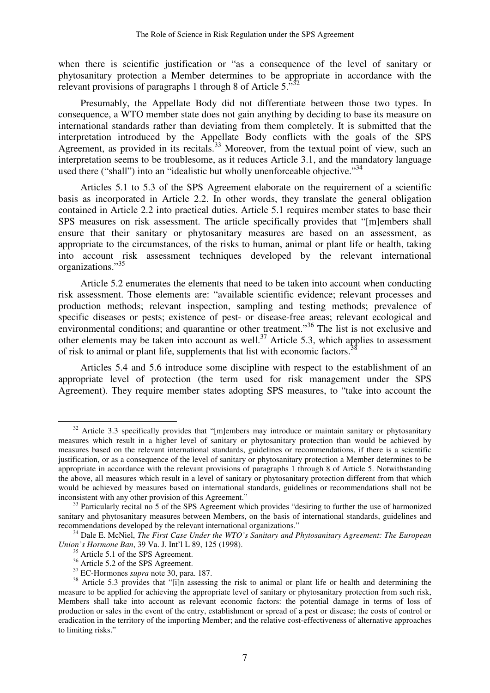when there is scientific justification or "as a consequence of the level of sanitary or phytosanitary protection a Member determines to be appropriate in accordance with the relevant provisions of paragraphs 1 through 8 of Article 5. $\cdot$ <sup>32</sup>

Presumably, the Appellate Body did not differentiate between those two types. In consequence, a WTO member state does not gain anything by deciding to base its measure on international standards rather than deviating from them completely. It is submitted that the interpretation introduced by the Appellate Body conflicts with the goals of the SPS Agreement, as provided in its recitals.<sup>33</sup> Moreover, from the textual point of view, such an interpretation seems to be troublesome, as it reduces Article 3.1, and the mandatory language used there ("shall") into an "idealistic but wholly unenforceable objective."<sup>34</sup>

Articles 5.1 to 5.3 of the SPS Agreement elaborate on the requirement of a scientific basis as incorporated in Article 2.2. In other words, they translate the general obligation contained in Article 2.2 into practical duties. Article 5.1 requires member states to base their SPS measures on risk assessment. The article specifically provides that "[m]embers shall ensure that their sanitary or phytosanitary measures are based on an assessment, as appropriate to the circumstances, of the risks to human, animal or plant life or health, taking into account risk assessment techniques developed by the relevant international organizations."<sup>35</sup>

Article 5.2 enumerates the elements that need to be taken into account when conducting risk assessment. Those elements are: "available scientific evidence; relevant processes and production methods; relevant inspection, sampling and testing methods; prevalence of specific diseases or pests; existence of pest- or disease-free areas; relevant ecological and environmental conditions; and quarantine or other treatment."<sup>36</sup> The list is not exclusive and other elements may be taken into account as well.<sup>37</sup> Article 5.3, which applies to assessment of risk to animal or plant life, supplements that list with economic factors.<sup>3</sup>

Articles 5.4 and 5.6 introduce some discipline with respect to the establishment of an appropriate level of protection (the term used for risk management under the SPS Agreement). They require member states adopting SPS measures, to "take into account the

 $32$  Article 3.3 specifically provides that "[m]embers may introduce or maintain sanitary or phytosanitary measures which result in a higher level of sanitary or phytosanitary protection than would be achieved by measures based on the relevant international standards, guidelines or recommendations, if there is a scientific justification, or as a consequence of the level of sanitary or phytosanitary protection a Member determines to be appropriate in accordance with the relevant provisions of paragraphs 1 through 8 of Article 5. Notwithstanding the above, all measures which result in a level of sanitary or phytosanitary protection different from that which would be achieved by measures based on international standards, guidelines or recommendations shall not be inconsistent with any other provision of this Agreement."

<sup>&</sup>lt;sup>33</sup> Particularly recital no 5 of the SPS Agreement which provides "desiring to further the use of harmonized sanitary and phytosanitary measures between Members, on the basis of international standards, guidelines and recommendations developed by the relevant international organizations."

<sup>34</sup> Dale E. McNiel, *The First Case Under the WTO's Sanitary and Phytosanitary Agreement: The European Union's Hormone Ban*, 39 Va. J. Int'l L 89, 125 (1998).

<sup>&</sup>lt;sup>35</sup> Article 5.1 of the SPS Agreement.

 $36$  Article 5.2 of the SPS Agreement.

<sup>37</sup> EC-Hormones *supra* note 30, para. 187.

<sup>&</sup>lt;sup>38</sup> Article 5.3 provides that "[i]n assessing the risk to animal or plant life or health and determining the measure to be applied for achieving the appropriate level of sanitary or phytosanitary protection from such risk, Members shall take into account as relevant economic factors: the potential damage in terms of loss of production or sales in the event of the entry, establishment or spread of a pest or disease; the costs of control or eradication in the territory of the importing Member; and the relative cost-effectiveness of alternative approaches to limiting risks."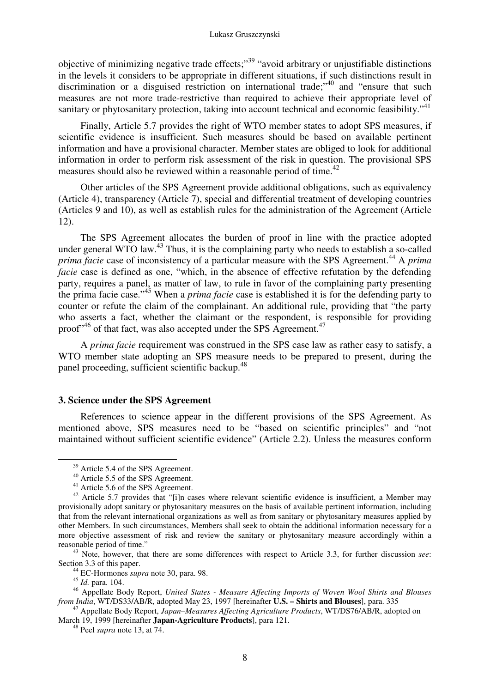objective of minimizing negative trade effects;"<sup>39</sup> "avoid arbitrary or unjustifiable distinctions in the levels it considers to be appropriate in different situations, if such distinctions result in discrimination or a disguised restriction on international trade;<sup>40</sup> and "ensure that such measures are not more trade-restrictive than required to achieve their appropriate level of sanitary or phytosanitary protection, taking into account technical and economic feasibility."<sup>41</sup>

Finally, Article 5.7 provides the right of WTO member states to adopt SPS measures, if scientific evidence is insufficient. Such measures should be based on available pertinent information and have a provisional character. Member states are obliged to look for additional information in order to perform risk assessment of the risk in question. The provisional SPS measures should also be reviewed within a reasonable period of time.<sup>42</sup>

Other articles of the SPS Agreement provide additional obligations, such as equivalency (Article 4), transparency (Article 7), special and differential treatment of developing countries (Articles 9 and 10), as well as establish rules for the administration of the Agreement (Article 12).

The SPS Agreement allocates the burden of proof in line with the practice adopted under general WTO law.<sup>43</sup> Thus, it is the complaining party who needs to establish a so-called *prima facie* case of inconsistency of a particular measure with the SPS Agreement.<sup>44</sup> A *prima facie* case is defined as one, "which, in the absence of effective refutation by the defending party, requires a panel, as matter of law, to rule in favor of the complaining party presenting the prima facie case."<sup>45</sup> When a *prima facie* case is established it is for the defending party to counter or refute the claim of the complainant. An additional rule, providing that "the party who asserts a fact, whether the claimant or the respondent, is responsible for providing proof<sup>"46</sup> of that fact, was also accepted under the SPS Agreement.<sup>47</sup>

A *prima facie* requirement was construed in the SPS case law as rather easy to satisfy, a WTO member state adopting an SPS measure needs to be prepared to present, during the panel proceeding, sufficient scientific backup.<sup>48</sup>

## **3. Science under the SPS Agreement**

References to science appear in the different provisions of the SPS Agreement. As mentioned above, SPS measures need to be "based on scientific principles" and "not maintained without sufficient scientific evidence" (Article 2.2). Unless the measures conform

<sup>&</sup>lt;sup>39</sup> Article 5.4 of the SPS Agreement.

<sup>40</sup> Article 5.5 of the SPS Agreement.

<sup>&</sup>lt;sup>41</sup> Article 5.6 of the SPS Agreement.

<sup>42</sup> Article 5.7 provides that "[i]n cases where relevant scientific evidence is insufficient, a Member may provisionally adopt sanitary or phytosanitary measures on the basis of available pertinent information, including that from the relevant international organizations as well as from sanitary or phytosanitary measures applied by other Members. In such circumstances, Members shall seek to obtain the additional information necessary for a more objective assessment of risk and review the sanitary or phytosanitary measure accordingly within a reasonable period of time."

<sup>43</sup> Note, however, that there are some differences with respect to Article 3.3, for further discussion *see*: Section 3.3 of this paper.

<sup>44</sup> EC-Hormones *supra* note 30, para. 98.

<sup>45</sup> *Id.* para. 104.

<sup>46</sup> Appellate Body Report, *United States - Measure Affecting Imports of Woven Wool Shirts and Blouses from India*, WT/DS33/AB/R, adopted May 23, 1997 [hereinafter **U.S. – Shirts and Blouses**], para. 335

<sup>47</sup> Appellate Body Report, *Japan–Measures Affecting Agriculture Products*, WT/DS76/AB/R, adopted on March 19, 1999 [hereinafter **Japan-Agriculture Products**], para 121.

<sup>48</sup> Peel *supra* note 13, at 74.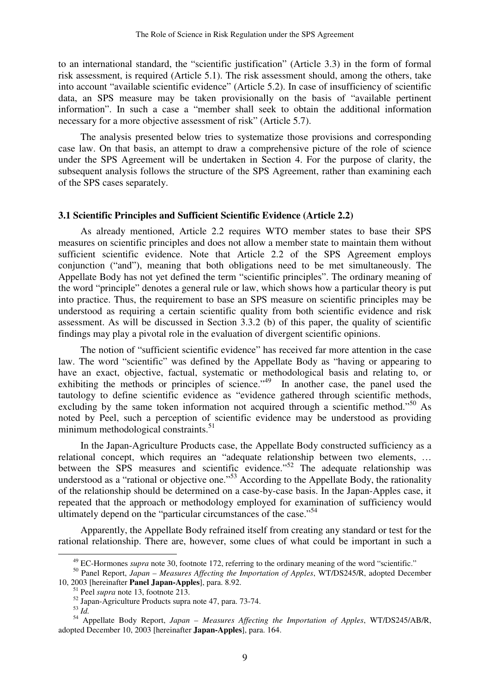to an international standard, the "scientific justification" (Article 3.3) in the form of formal risk assessment, is required (Article 5.1). The risk assessment should, among the others, take into account "available scientific evidence" (Article 5.2). In case of insufficiency of scientific data, an SPS measure may be taken provisionally on the basis of "available pertinent information". In such a case a "member shall seek to obtain the additional information necessary for a more objective assessment of risk" (Article 5.7).

The analysis presented below tries to systematize those provisions and corresponding case law. On that basis, an attempt to draw a comprehensive picture of the role of science under the SPS Agreement will be undertaken in Section 4. For the purpose of clarity, the subsequent analysis follows the structure of the SPS Agreement, rather than examining each of the SPS cases separately.

#### **3.1 Scientific Principles and Sufficient Scientific Evidence (Article 2.2)**

As already mentioned, Article 2.2 requires WTO member states to base their SPS measures on scientific principles and does not allow a member state to maintain them without sufficient scientific evidence. Note that Article 2.2 of the SPS Agreement employs conjunction ("and"), meaning that both obligations need to be met simultaneously. The Appellate Body has not yet defined the term "scientific principles". The ordinary meaning of the word "principle" denotes a general rule or law, which shows how a particular theory is put into practice. Thus, the requirement to base an SPS measure on scientific principles may be understood as requiring a certain scientific quality from both scientific evidence and risk assessment. As will be discussed in Section 3.3.2 (b) of this paper, the quality of scientific findings may play a pivotal role in the evaluation of divergent scientific opinions.

The notion of "sufficient scientific evidence" has received far more attention in the case law. The word "scientific" was defined by the Appellate Body as "having or appearing to have an exact, objective, factual, systematic or methodological basis and relating to, or exhibiting the methods or principles of science." $49$  In another case, the panel used the tautology to define scientific evidence as "evidence gathered through scientific methods, excluding by the same token information not acquired through a scientific method."<sup>50</sup> As noted by Peel, such a perception of scientific evidence may be understood as providing minimum methodological constraints.<sup>51</sup>

In the Japan-Agriculture Products case, the Appellate Body constructed sufficiency as a relational concept, which requires an "adequate relationship between two elements, … between the SPS measures and scientific evidence."<sup>52</sup> The adequate relationship was understood as a "rational or objective one."<sup>53</sup> According to the Appellate Body, the rationality of the relationship should be determined on a case-by-case basis. In the Japan-Apples case, it repeated that the approach or methodology employed for examination of sufficiency would ultimately depend on the "particular circumstances of the case."<sup>54</sup>

Apparently, the Appellate Body refrained itself from creating any standard or test for the rational relationship. There are, however, some clues of what could be important in such a

<sup>&</sup>lt;sup>49</sup> EC-Hormones *supra* note 30, footnote 172, referring to the ordinary meaning of the word "scientific."

<sup>50</sup> Panel Report, *Japan – Measures Affecting the Importation of Apples*, WT/DS245/R, adopted December 10, 2003 [hereinafter **Panel Japan-Apples**], para. 8.92.

<sup>51</sup> Peel *supra* note 13, footnote 213.

<sup>52</sup> Japan-Agriculture Products supra note 47, para. 73-74.

<sup>53</sup> *Id.*

<sup>54</sup> Appellate Body Report, *Japan – Measures Affecting the Importation of Apples*, WT/DS245/AB/R, adopted December 10, 2003 [hereinafter **Japan-Apples**], para. 164.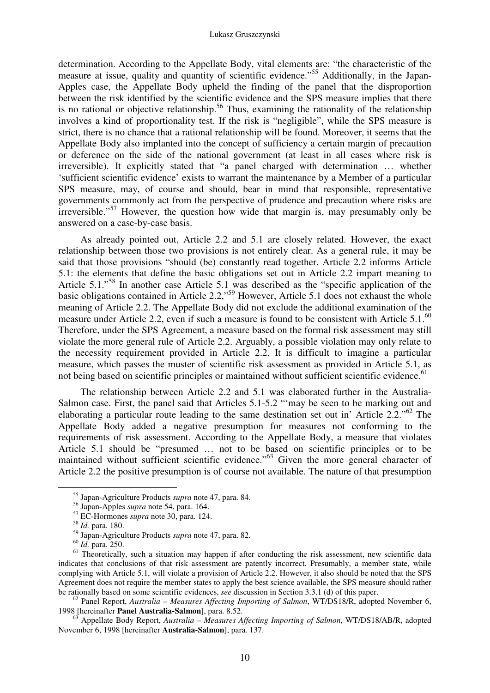determination. According to the Appellate Body, vital elements are: "the characteristic of the measure at issue, quality and quantity of scientific evidence.<sup>"55</sup> Additionally, in the Japan-Apples case, the Appellate Body upheld the finding of the panel that the disproportion between the risk identified by the scientific evidence and the SPS measure implies that there is no rational or objective relationship.<sup>56</sup> Thus, examining the rationality of the relationship involves a kind of proportionality test. If the risk is "negligible", while the SPS measure is strict, there is no chance that a rational relationship will be found. Moreover, it seems that the Appellate Body also implanted into the concept of sufficiency a certain margin of precaution or deference on the side of the national government (at least in all cases where risk is irreversible). It explicitly stated that "a panel charged with determination … whether 'sufficient scientific evidence' exists to warrant the maintenance by a Member of a particular SPS measure, may, of course and should, bear in mind that responsible, representative governments commonly act from the perspective of prudence and precaution where risks are  $irreversible." <sup>57</sup> However, the question how wide that margin is, may presumably only be$ answered on a case-by-case basis.

As already pointed out, Article 2.2 and 5.1 are closely related. However, the exact relationship between those two provisions is not entirely clear. As a general rule, it may be said that those provisions "should (be) constantly read together. Article 2.2 informs Article 5.1: the elements that define the basic obligations set out in Article 2.2 impart meaning to Article 5.1."<sup>58</sup> In another case Article 5.1 was described as the "specific application of the basic obligations contained in Article 2.2,"<sup>59</sup> However, Article 5.1 does not exhaust the whole meaning of Article 2.2. The Appellate Body did not exclude the additional examination of the measure under Article 2.2, even if such a measure is found to be consistent with Article  $5.1^{60}$ Therefore, under the SPS Agreement, a measure based on the formal risk assessment may still violate the more general rule of Article 2.2. Arguably, a possible violation may only relate to the necessity requirement provided in Article 2.2. It is difficult to imagine a particular measure, which passes the muster of scientific risk assessment as provided in Article 5.1, as not being based on scientific principles or maintained without sufficient scientific evidence.<sup>61</sup>

The relationship between Article 2.2 and 5.1 was elaborated further in the Australia-Salmon case. First, the panel said that Articles 5.1-5.2 "'may be seen to be marking out and elaborating a particular route leading to the same destination set out in' Article 2.2."<sup>62</sup> The Appellate Body added a negative presumption for measures not conforming to the requirements of risk assessment. According to the Appellate Body, a measure that violates Article 5.1 should be "presumed … not to be based on scientific principles or to be maintained without sufficient scientific evidence."<sup>63</sup> Given the more general character of Article 2.2 the positive presumption is of course not available. The nature of that presumption

-

<sup>62</sup> Panel Report, *Australia – Measures Affecting Importing of Salmon*, WT/DS18/R, adopted November 6, 1998 [hereinafter **Panel Australia-Salmon**], para. 8.52.

<sup>63</sup> Appellate Body Report, *Australia – Measures Affecting Importing of Salmon*, WT/DS18/AB/R, adopted November 6, 1998 [hereinafter **Australia-Salmon**], para. 137.

<sup>55</sup> Japan-Agriculture Products *supra* note 47, para. 84.

<sup>56</sup> Japan-Apples *supra* note 54, para. 164.

<sup>57</sup> EC-Hormones *supra* note 30, para. 124.

<sup>58</sup> *Id.* para. 180.

<sup>59</sup> Japan-Agriculture Products *supra* note 47, para. 82.

<sup>60</sup> *Id.* para. 250.

 $61$  Theoretically, such a situation may happen if after conducting the risk assessment, new scientific data indicates that conclusions of that risk assessment are patently incorrect. Presumably, a member state, while complying with Article 5.1, will violate a provision of Article 2.2. However, it also should be noted that the SPS Agreement does not require the member states to apply the best science available, the SPS measure should rather be rationally based on some scientific evidences, *see* discussion in Section 3.3.1 (d) of this paper.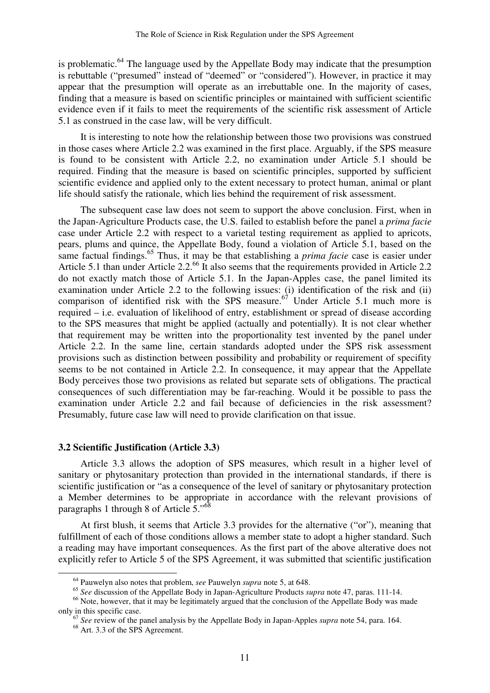is problematic. $64$  The language used by the Appellate Body may indicate that the presumption is rebuttable ("presumed" instead of "deemed" or "considered"). However, in practice it may appear that the presumption will operate as an irrebuttable one. In the majority of cases, finding that a measure is based on scientific principles or maintained with sufficient scientific evidence even if it fails to meet the requirements of the scientific risk assessment of Article 5.1 as construed in the case law, will be very difficult.

It is interesting to note how the relationship between those two provisions was construed in those cases where Article 2.2 was examined in the first place. Arguably, if the SPS measure is found to be consistent with Article 2.2, no examination under Article 5.1 should be required. Finding that the measure is based on scientific principles, supported by sufficient scientific evidence and applied only to the extent necessary to protect human, animal or plant life should satisfy the rationale, which lies behind the requirement of risk assessment.

The subsequent case law does not seem to support the above conclusion. First, when in the Japan-Agriculture Products case, the U.S. failed to establish before the panel a *prima facie*  case under Article 2.2 with respect to a varietal testing requirement as applied to apricots, pears, plums and quince, the Appellate Body, found a violation of Article 5.1, based on the same factual findings.<sup>65</sup> Thus, it may be that establishing a *prima facie* case is easier under Article 5.1 than under Article 2.2.<sup>66</sup> It also seems that the requirements provided in Article 2.2 do not exactly match those of Article 5.1. In the Japan-Apples case, the panel limited its examination under Article 2.2 to the following issues: (i) identification of the risk and (ii) comparison of identified risk with the SPS measure.<sup>67</sup> Under Article 5.1 much more is required – i.e. evaluation of likelihood of entry, establishment or spread of disease according to the SPS measures that might be applied (actually and potentially). It is not clear whether that requirement may be written into the proportionality test invented by the panel under Article 2.2. In the same line, certain standards adopted under the SPS risk assessment provisions such as distinction between possibility and probability or requirement of specifity seems to be not contained in Article 2.2. In consequence, it may appear that the Appellate Body perceives those two provisions as related but separate sets of obligations. The practical consequences of such differentiation may be far-reaching. Would it be possible to pass the examination under Article 2.2 and fail because of deficiencies in the risk assessment? Presumably, future case law will need to provide clarification on that issue.

#### **3.2 Scientific Justification (Article 3.3)**

Article 3.3 allows the adoption of SPS measures, which result in a higher level of sanitary or phytosanitary protection than provided in the international standards, if there is scientific justification or "as a consequence of the level of sanitary or phytosanitary protection a Member determines to be appropriate in accordance with the relevant provisions of paragraphs 1 through 8 of Article 5."<sup>68</sup>

At first blush, it seems that Article 3.3 provides for the alternative ("or"), meaning that fulfillment of each of those conditions allows a member state to adopt a higher standard. Such a reading may have important consequences. As the first part of the above alterative does not explicitly refer to Article 5 of the SPS Agreement, it was submitted that scientific justification

<sup>64</sup> Pauwelyn also notes that problem, *see* Pauwelyn *supra* note 5, at 648.

<sup>65</sup> *See* discussion of the Appellate Body in Japan-Agriculture Products *supra* note 47, paras. 111-14.

<sup>&</sup>lt;sup>66</sup> Note, however, that it may be legitimately argued that the conclusion of the Appellate Body was made only in this specific case.

<sup>67</sup> *See* review of the panel analysis by the Appellate Body in Japan-Apples *supra* note 54, para. 164.

<sup>68</sup> Art. 3.3 of the SPS Agreement.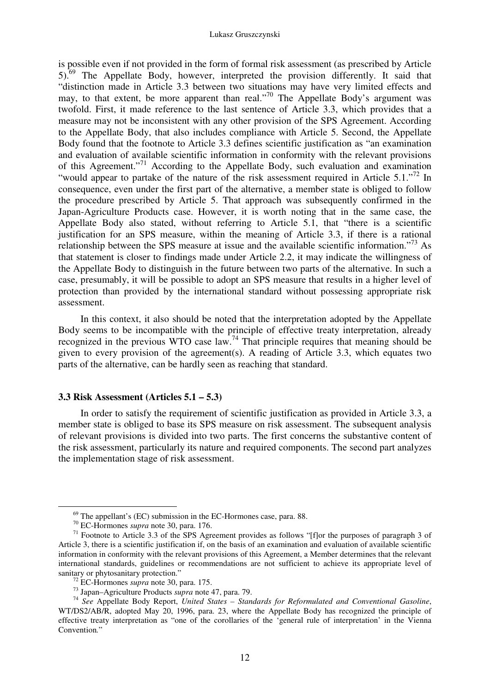is possible even if not provided in the form of formal risk assessment (as prescribed by Article 5).<sup>69</sup> The Appellate Body, however, interpreted the provision differently. It said that "distinction made in Article 3.3 between two situations may have very limited effects and may, to that extent, be more apparent than real."<sup>70</sup> The Appellate Body's argument was twofold. First, it made reference to the last sentence of Article 3.3, which provides that a measure may not be inconsistent with any other provision of the SPS Agreement. According to the Appellate Body, that also includes compliance with Article 5. Second, the Appellate Body found that the footnote to Article 3.3 defines scientific justification as "an examination and evaluation of available scientific information in conformity with the relevant provisions of this Agreement."<sup>71</sup> According to the Appellate Body, such evaluation and examination "would appear to partake of the nature of the risk assessment required in Article 5.1."<sup>72</sup> In consequence, even under the first part of the alternative, a member state is obliged to follow the procedure prescribed by Article 5. That approach was subsequently confirmed in the Japan-Agriculture Products case. However, it is worth noting that in the same case, the Appellate Body also stated, without referring to Article 5.1, that "there is a scientific justification for an SPS measure, within the meaning of Article 3.3, if there is a rational relationship between the SPS measure at issue and the available scientific information."<sup>73</sup> As that statement is closer to findings made under Article 2.2, it may indicate the willingness of the Appellate Body to distinguish in the future between two parts of the alternative. In such a case, presumably, it will be possible to adopt an SPS measure that results in a higher level of protection than provided by the international standard without possessing appropriate risk assessment.

In this context, it also should be noted that the interpretation adopted by the Appellate Body seems to be incompatible with the principle of effective treaty interpretation, already recognized in the previous WTO case law.<sup>74</sup> That principle requires that meaning should be given to every provision of the agreement(s). A reading of Article 3.3, which equates two parts of the alternative, can be hardly seen as reaching that standard.

#### **3.3 Risk Assessment (Articles 5.1 – 5.3)**

In order to satisfy the requirement of scientific justification as provided in Article 3.3, a member state is obliged to base its SPS measure on risk assessment. The subsequent analysis of relevant provisions is divided into two parts. The first concerns the substantive content of the risk assessment, particularly its nature and required components. The second part analyzes the implementation stage of risk assessment.

 $69$  The appellant's (EC) submission in the EC-Hormones case, para. 88.

<sup>70</sup> EC-Hormones *supra* note 30, para. 176.

<sup>&</sup>lt;sup>71</sup> Footnote to Article 3.3 of the SPS Agreement provides as follows "[f]or the purposes of paragraph 3 of Article 3, there is a scientific justification if, on the basis of an examination and evaluation of available scientific information in conformity with the relevant provisions of this Agreement, a Member determines that the relevant international standards, guidelines or recommendations are not sufficient to achieve its appropriate level of sanitary or phytosanitary protection."

<sup>72</sup> EC-Hormones *supra* note 30, para. 175.

<sup>73</sup> Japan–Agriculture Products *supra* note 47, para. 79.

<sup>74</sup> *See* Appellate Body Report, *United States – Standards for Reformulated and Conventional Gasoline*, WT/DS2/AB/R, adopted May 20, 1996, para. 23, where the Appellate Body has recognized the principle of effective treaty interpretation as "one of the corollaries of the 'general rule of interpretation' in the Vienna Convention*.*"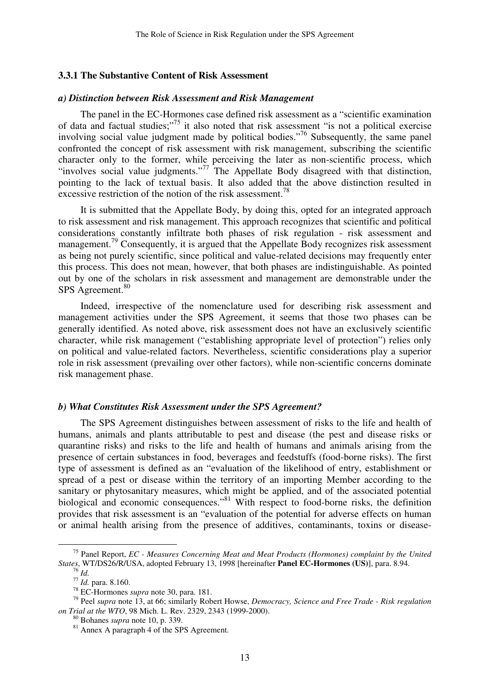#### **3.3.1 The Substantive Content of Risk Assessment**

#### *a) Distinction between Risk Assessment and Risk Management*

The panel in the EC-Hormones case defined risk assessment as a "scientific examination of data and factual studies;"<sup>75</sup> it also noted that risk assessment "is not a political exercise involving social value judgment made by political bodies."<sup>76</sup> Subsequently, the same panel confronted the concept of risk assessment with risk management, subscribing the scientific character only to the former, while perceiving the later as non-scientific process, which "involves social value judgments."<sup>77</sup> The Appellate Body disagreed with that distinction, pointing to the lack of textual basis. It also added that the above distinction resulted in excessive restriction of the notion of the risk assessment.<sup>78</sup>

It is submitted that the Appellate Body, by doing this, opted for an integrated approach to risk assessment and risk management. This approach recognizes that scientific and political considerations constantly infiltrate both phases of risk regulation - risk assessment and management.<sup>79</sup> Consequently, it is argued that the Appellate Body recognizes risk assessment as being not purely scientific, since political and value-related decisions may frequently enter this process. This does not mean, however, that both phases are indistinguishable. As pointed out by one of the scholars in risk assessment and management are demonstrable under the SPS Agreement.<sup>80</sup>

Indeed, irrespective of the nomenclature used for describing risk assessment and management activities under the SPS Agreement, it seems that those two phases can be generally identified. As noted above, risk assessment does not have an exclusively scientific character, while risk management ("establishing appropriate level of protection") relies only on political and value-related factors. Nevertheless, scientific considerations play a superior role in risk assessment (prevailing over other factors), while non-scientific concerns dominate risk management phase.

#### *b) What Constitutes Risk Assessment under the SPS Agreement?*

The SPS Agreement distinguishes between assessment of risks to the life and health of humans, animals and plants attributable to pest and disease (the pest and disease risks or quarantine risks) and risks to the life and health of humans and animals arising from the presence of certain substances in food, beverages and feedstuffs (food-borne risks). The first type of assessment is defined as an "evaluation of the likelihood of entry, establishment or spread of a pest or disease within the territory of an importing Member according to the sanitary or phytosanitary measures, which might be applied, and of the associated potential biological and economic consequences."<sup>81</sup> With respect to food-borne risks, the definition provides that risk assessment is an "evaluation of the potential for adverse effects on human or animal health arising from the presence of additives, contaminants, toxins or disease-

<sup>75</sup> Panel Report, *EC - Measures Concerning Meat and Meat Products (Hormones) complaint by the United States*, WT/DS26/R/USA, adopted February 13, 1998 [hereinafter **Panel EC-Hormones (US)**], para. 8.94. <sup>76</sup> *Id.*

<sup>77</sup> *Id.* para. 8.160.

<sup>78</sup> EC-Hormones *supra* note 30, para. 181.

<sup>79</sup> Peel *supra* note 13, at 66; similarly Robert Howse, *Democracy, Science and Free Trade - Risk regulation on Trial at the WTO*, 98 Mich. L. Rev. 2329, 2343 (1999-2000).

<sup>80</sup> Bohanes *supra* note 10, p. 339.

<sup>&</sup>lt;sup>81</sup> Annex A paragraph 4 of the SPS Agreement.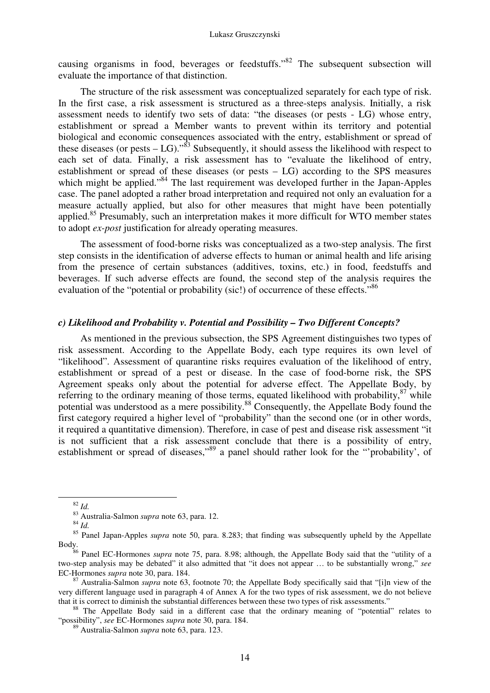causing organisms in food, beverages or feedstuffs.<sup>82</sup> The subsequent subsection will evaluate the importance of that distinction.

The structure of the risk assessment was conceptualized separately for each type of risk. In the first case, a risk assessment is structured as a three-steps analysis. Initially, a risk assessment needs to identify two sets of data: "the diseases (or pests - LG) whose entry, establishment or spread a Member wants to prevent within its territory and potential biological and economic consequences associated with the entry, establishment or spread of these diseases (or pests  $-LG$ ).<sup>83</sup> Subsequently, it should assess the likelihood with respect to each set of data. Finally, a risk assessment has to "evaluate the likelihood of entry, establishment or spread of these diseases (or pests – LG) according to the SPS measures which might be applied."<sup>84</sup> The last requirement was developed further in the Japan-Apples case. The panel adopted a rather broad interpretation and required not only an evaluation for a measure actually applied, but also for other measures that might have been potentially applied.<sup>85</sup> Presumably, such an interpretation makes it more difficult for WTO member states to adopt *ex-post* justification for already operating measures.

The assessment of food-borne risks was conceptualized as a two-step analysis. The first step consists in the identification of adverse effects to human or animal health and life arising from the presence of certain substances (additives, toxins, etc.) in food, feedstuffs and beverages. If such adverse effects are found, the second step of the analysis requires the evaluation of the "potential or probability (sic!) of occurrence of these effects."<sup>86</sup>

# *c) Likelihood and Probability v. Potential and Possibility – Two Different Concepts?*

As mentioned in the previous subsection, the SPS Agreement distinguishes two types of risk assessment. According to the Appellate Body, each type requires its own level of "likelihood". Assessment of quarantine risks requires evaluation of the likelihood of entry, establishment or spread of a pest or disease. In the case of food-borne risk, the SPS Agreement speaks only about the potential for adverse effect. The Appellate Body, by referring to the ordinary meaning of those terms, equated likelihood with probability, $87$  while potential was understood as a mere possibility.<sup>88</sup> Consequently, the Appellate Body found the first category required a higher level of "probability" than the second one (or in other words, it required a quantitative dimension). Therefore, in case of pest and disease risk assessment "it is not sufficient that a risk assessment conclude that there is a possibility of entry, establishment or spread of diseases,"<sup>89</sup> a panel should rather look for the "'probability', of

<sup>82</sup> *Id.*

<sup>83</sup> Australia-Salmon *supra* note 63, para. 12.

 $\int^{84}$ *Id.* 

<sup>&</sup>lt;sup>85</sup> Panel Japan-Apples *supra* note 50, para. 8.283; that finding was subsequently upheld by the Appellate Body.

<sup>86</sup> Panel EC-Hormones *supra* note 75, para. 8.98; although, the Appellate Body said that the "utility of a two-step analysis may be debated" it also admitted that "it does not appear … to be substantially wrong," *see*  EC-Hormones *supra* note 30, para. 184.

<sup>87</sup> Australia-Salmon *supra* note 63, footnote 70; the Appellate Body specifically said that "[i]n view of the very different language used in paragraph 4 of Annex A for the two types of risk assessment, we do not believe that it is correct to diminish the substantial differences between these two types of risk assessments."

<sup>&</sup>lt;sup>88</sup> The Appellate Body said in a different case that the ordinary meaning of "potential" relates to "possibility", *see* EC-Hormones *supra* note 30, para. 184.

<sup>89</sup> Australia-Salmon *supra* note 63, para. 123.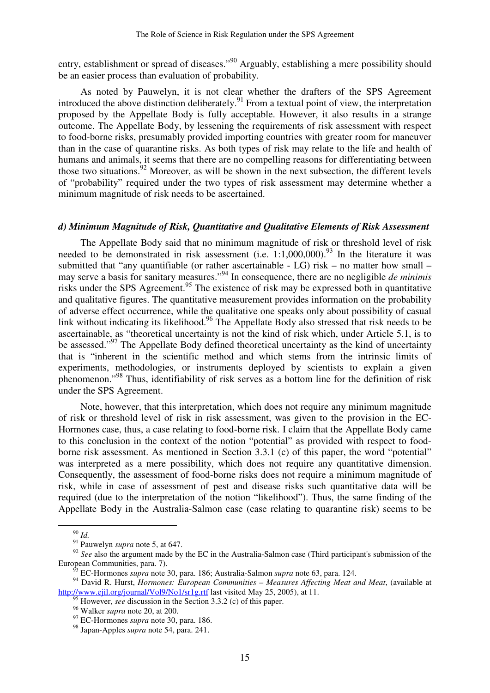entry, establishment or spread of diseases."<sup>90</sup> Arguably, establishing a mere possibility should be an easier process than evaluation of probability.

As noted by Pauwelyn, it is not clear whether the drafters of the SPS Agreement introduced the above distinction deliberately.<sup>91</sup> From a textual point of view, the interpretation proposed by the Appellate Body is fully acceptable. However, it also results in a strange outcome. The Appellate Body, by lessening the requirements of risk assessment with respect to food-borne risks, presumably provided importing countries with greater room for maneuver than in the case of quarantine risks. As both types of risk may relate to the life and health of humans and animals, it seems that there are no compelling reasons for differentiating between those two situations.<sup>92</sup> Moreover, as will be shown in the next subsection, the different levels of "probability" required under the two types of risk assessment may determine whether a minimum magnitude of risk needs to be ascertained.

#### *d) Minimum Magnitude of Risk, Quantitative and Qualitative Elements of Risk Assessment*

The Appellate Body said that no minimum magnitude of risk or threshold level of risk needed to be demonstrated in risk assessment (i.e.  $1:1,000,000$ ).<sup>93</sup> In the literature it was submitted that "any quantifiable (or rather ascertainable - LG) risk – no matter how small – may serve a basis for sanitary measures."<sup>94</sup> In consequence, there are no negligible *de minimis* risks under the SPS Agreement.<sup>95</sup> The existence of risk may be expressed both in quantitative and qualitative figures. The quantitative measurement provides information on the probability of adverse effect occurrence, while the qualitative one speaks only about possibility of casual link without indicating its likelihood.<sup>96</sup> The Appellate Body also stressed that risk needs to be ascertainable, as "theoretical uncertainty is not the kind of risk which, under Article 5.1, is to be assessed."<sup>97</sup> The Appellate Body defined theoretical uncertainty as the kind of uncertainty that is "inherent in the scientific method and which stems from the intrinsic limits of experiments, methodologies, or instruments deployed by scientists to explain a given phenomenon."<sup>98</sup> Thus, identifiability of risk serves as a bottom line for the definition of risk under the SPS Agreement.

Note, however, that this interpretation, which does not require any minimum magnitude of risk or threshold level of risk in risk assessment, was given to the provision in the EC-Hormones case, thus, a case relating to food-borne risk. I claim that the Appellate Body came to this conclusion in the context of the notion "potential" as provided with respect to foodborne risk assessment. As mentioned in Section 3.3.1 (c) of this paper, the word "potential" was interpreted as a mere possibility, which does not require any quantitative dimension. Consequently, the assessment of food-borne risks does not require a minimum magnitude of risk, while in case of assessment of pest and disease risks such quantitative data will be required (due to the interpretation of the notion "likelihood"). Thus, the same finding of the Appellate Body in the Australia-Salmon case (case relating to quarantine risk) seems to be

<sup>90</sup> *Id.*

<sup>&</sup>lt;sup>91</sup> Pauwelyn *supra* note 5, at 647.

<sup>&</sup>lt;sup>92</sup> See also the argument made by the EC in the Australia-Salmon case (Third participant's submission of the European Communities, para. 7).

<sup>93</sup> EC-Hormones *supra* note 30, para. 186; Australia-Salmon *supra* note 63, para. 124.

<sup>94</sup> David R. Hurst, *Hormones: European Communities – Measures Affecting Meat and Meat*, (available at http://www.ejil.org/journal/Vol9/No1/sr1g.rtf last visited May 25, 2005), at 11.

However, *see* discussion in the Section 3.3.2 (c) of this paper.

<sup>96</sup> Walker *supra* note 20, at 200.

<sup>97</sup> EC-Hormones *supra* note 30, para. 186.

<sup>98</sup> Japan-Apples *supra* note 54, para. 241.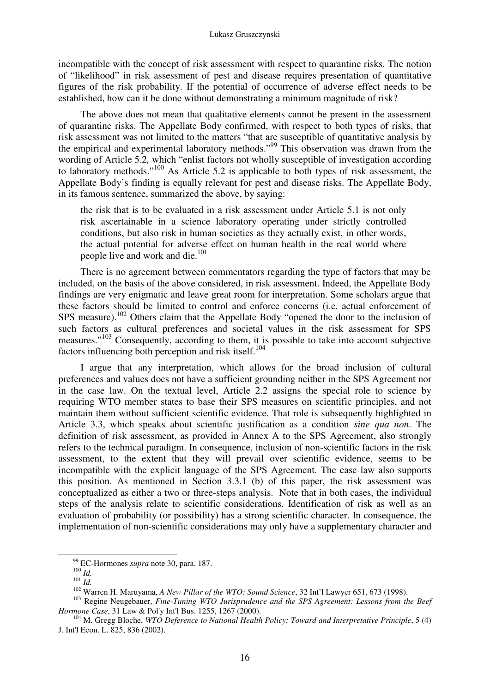incompatible with the concept of risk assessment with respect to quarantine risks. The notion of "likelihood" in risk assessment of pest and disease requires presentation of quantitative figures of the risk probability. If the potential of occurrence of adverse effect needs to be established, how can it be done without demonstrating a minimum magnitude of risk?

The above does not mean that qualitative elements cannot be present in the assessment of quarantine risks. The Appellate Body confirmed, with respect to both types of risks, that risk assessment was not limited to the matters "that are susceptible of quantitative analysis by the empirical and experimental laboratory methods."<sup>99</sup> This observation was drawn from the wording of Article 5.2, which "enlist factors not wholly susceptible of investigation according to laboratory methods."<sup>100</sup> As Article 5.2 is applicable to both types of risk assessment, the Appellate Body's finding is equally relevant for pest and disease risks. The Appellate Body, in its famous sentence, summarized the above, by saying:

the risk that is to be evaluated in a risk assessment under Article 5.1 is not only risk ascertainable in a science laboratory operating under strictly controlled conditions, but also risk in human societies as they actually exist, in other words, the actual potential for adverse effect on human health in the real world where people live and work and die.<sup>101</sup>

There is no agreement between commentators regarding the type of factors that may be included, on the basis of the above considered, in risk assessment. Indeed, the Appellate Body findings are very enigmatic and leave great room for interpretation. Some scholars argue that these factors should be limited to control and enforce concerns (i.e. actual enforcement of SPS measure).<sup>102</sup> Others claim that the Appellate Body "opened the door to the inclusion of such factors as cultural preferences and societal values in the risk assessment for SPS measures."<sup>103</sup> Consequently, according to them, it is possible to take into account subjective factors influencing both perception and risk itself.<sup>104</sup>

I argue that any interpretation, which allows for the broad inclusion of cultural preferences and values does not have a sufficient grounding neither in the SPS Agreement nor in the case law. On the textual level, Article 2.2 assigns the special role to science by requiring WTO member states to base their SPS measures on scientific principles, and not maintain them without sufficient scientific evidence. That role is subsequently highlighted in Article 3.3, which speaks about scientific justification as a condition *sine qua non*. The definition of risk assessment, as provided in Annex A to the SPS Agreement, also strongly refers to the technical paradigm. In consequence, inclusion of non-scientific factors in the risk assessment, to the extent that they will prevail over scientific evidence, seems to be incompatible with the explicit language of the SPS Agreement. The case law also supports this position. As mentioned in Section 3.3.1 (b) of this paper, the risk assessment was conceptualized as either a two or three-steps analysis. Note that in both cases, the individual steps of the analysis relate to scientific considerations. Identification of risk as well as an evaluation of probability (or possibility) has a strong scientific character. In consequence, the implementation of non-scientific considerations may only have a supplementary character and

<sup>99</sup> EC-Hormones *supra* note 30, para. 187.

<sup>100</sup> *Id.*

<sup>101</sup> *Id.*

<sup>102</sup> Warren H. Maruyama, *A New Pillar of the WTO: Sound Science*, 32 Int'l Lawyer 651, 673 (1998).

<sup>&</sup>lt;sup>103</sup> Regine Neugebauer, *Fine-Tuning WTO Jurisprudence and the SPS Agreement: Lessons from the Beef Hormone Case*, 31 Law & Pol'y Int'l Bus. 1255, 1267 (2000).

<sup>&</sup>lt;sup>104</sup> M. Gregg Bloche, *WTO Deference to National Health Policy: Toward and Interpretative Principle*, 5 (4) J. Int'l Econ. L. 825, 836 (2002).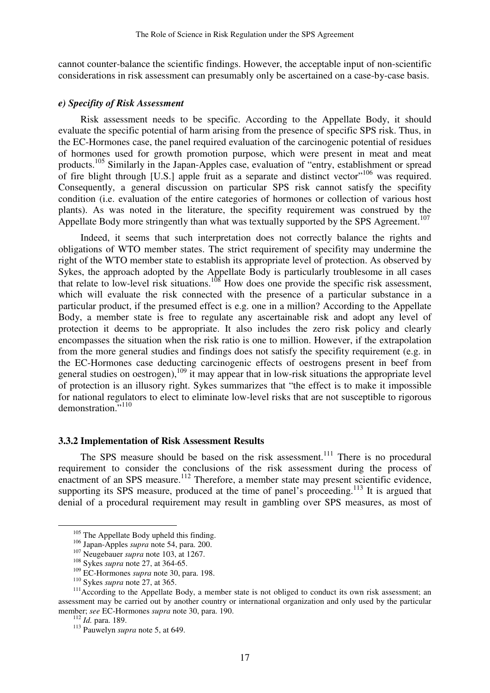cannot counter-balance the scientific findings. However, the acceptable input of non-scientific considerations in risk assessment can presumably only be ascertained on a case-by-case basis.

#### *e) Specifity of Risk Assessment*

Risk assessment needs to be specific. According to the Appellate Body, it should evaluate the specific potential of harm arising from the presence of specific SPS risk. Thus, in the EC-Hormones case, the panel required evaluation of the carcinogenic potential of residues of hormones used for growth promotion purpose, which were present in meat and meat products.<sup>105</sup> Similarly in the Japan-Apples case, evaluation of "entry, establishment or spread of fire blight through [U.S.] apple fruit as a separate and distinct vector"<sup>106</sup> was required. Consequently, a general discussion on particular SPS risk cannot satisfy the specifity condition (i.e. evaluation of the entire categories of hormones or collection of various host plants). As was noted in the literature, the specifity requirement was construed by the Appellate Body more stringently than what was textually supported by the SPS Agreement.<sup>107</sup>

Indeed, it seems that such interpretation does not correctly balance the rights and obligations of WTO member states. The strict requirement of specifity may undermine the right of the WTO member state to establish its appropriate level of protection. As observed by Sykes, the approach adopted by the Appellate Body is particularly troublesome in all cases that relate to low-level risk situations.<sup>108</sup> How does one provide the specific risk assessment, which will evaluate the risk connected with the presence of a particular substance in a particular product, if the presumed effect is e.g. one in a million? According to the Appellate Body, a member state is free to regulate any ascertainable risk and adopt any level of protection it deems to be appropriate. It also includes the zero risk policy and clearly encompasses the situation when the risk ratio is one to million. However, if the extrapolation from the more general studies and findings does not satisfy the specifity requirement (e.g. in the EC-Hormones case deducting carcinogenic effects of oestrogens present in beef from general studies on oestrogen),  $109$  it may appear that in low-risk situations the appropriate level of protection is an illusory right. Sykes summarizes that "the effect is to make it impossible for national regulators to elect to eliminate low-level risks that are not susceptible to rigorous demonstration."<sup>110</sup>

#### **3.3.2 Implementation of Risk Assessment Results**

The SPS measure should be based on the risk assessment.<sup>111</sup> There is no procedural requirement to consider the conclusions of the risk assessment during the process of enactment of an SPS measure.<sup>112</sup> Therefore, a member state may present scientific evidence, supporting its SPS measure, produced at the time of panel's proceeding.<sup>113</sup> It is argued that denial of a procedural requirement may result in gambling over SPS measures, as most of

<sup>&</sup>lt;sup>105</sup> The Appellate Body upheld this finding.

<sup>106</sup> Japan-Apples *supra* note 54, para. 200.

<sup>&</sup>lt;sup>107</sup> Neugebauer *supra* note 103, at 1267.

<sup>108</sup> Sykes *supra* note 27, at 364-65.

<sup>109</sup> EC-Hormones *supra* note 30, para. 198.

<sup>110</sup> Sykes *supra* note 27, at 365.

<sup>&</sup>lt;sup>111</sup> According to the Appellate Body, a member state is not obliged to conduct its own risk assessment; an assessment may be carried out by another country or international organization and only used by the particular member; *see* EC-Hormones *supra* note 30, para. 190.

<sup>112</sup> *Id.* para. 189.

<sup>113</sup> Pauwelyn *supra* note 5, at 649.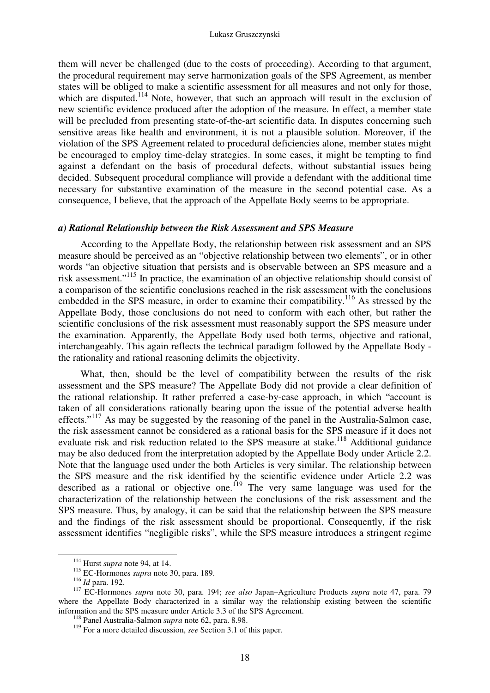them will never be challenged (due to the costs of proceeding). According to that argument, the procedural requirement may serve harmonization goals of the SPS Agreement, as member states will be obliged to make a scientific assessment for all measures and not only for those, which are disputed.<sup>114</sup> Note, however, that such an approach will result in the exclusion of new scientific evidence produced after the adoption of the measure. In effect, a member state will be precluded from presenting state-of-the-art scientific data. In disputes concerning such sensitive areas like health and environment, it is not a plausible solution. Moreover, if the violation of the SPS Agreement related to procedural deficiencies alone, member states might be encouraged to employ time-delay strategies. In some cases, it might be tempting to find against a defendant on the basis of procedural defects, without substantial issues being decided. Subsequent procedural compliance will provide a defendant with the additional time necessary for substantive examination of the measure in the second potential case. As a consequence, I believe, that the approach of the Appellate Body seems to be appropriate.

#### *a) Rational Relationship between the Risk Assessment and SPS Measure*

According to the Appellate Body, the relationship between risk assessment and an SPS measure should be perceived as an "objective relationship between two elements", or in other words "an objective situation that persists and is observable between an SPS measure and a risk assessment."<sup>115</sup> In practice, the examination of an objective relationship should consist of a comparison of the scientific conclusions reached in the risk assessment with the conclusions embedded in the SPS measure, in order to examine their compatibility.<sup>116</sup> As stressed by the Appellate Body, those conclusions do not need to conform with each other, but rather the scientific conclusions of the risk assessment must reasonably support the SPS measure under the examination. Apparently, the Appellate Body used both terms, objective and rational, interchangeably. This again reflects the technical paradigm followed by the Appellate Body the rationality and rational reasoning delimits the objectivity.

What, then, should be the level of compatibility between the results of the risk assessment and the SPS measure? The Appellate Body did not provide a clear definition of the rational relationship. It rather preferred a case-by-case approach, in which "account is taken of all considerations rationally bearing upon the issue of the potential adverse health effects."<sup>117</sup> As may be suggested by the reasoning of the panel in the Australia-Salmon case, the risk assessment cannot be considered as a rational basis for the SPS measure if it does not evaluate risk and risk reduction related to the SPS measure at stake.<sup>118</sup> Additional guidance may be also deduced from the interpretation adopted by the Appellate Body under Article 2.2. Note that the language used under the both Articles is very similar. The relationship between the SPS measure and the risk identified by the scientific evidence under Article 2.2 was described as a rational or objective one.<sup>119</sup> The very same language was used for the characterization of the relationship between the conclusions of the risk assessment and the SPS measure. Thus, by analogy, it can be said that the relationship between the SPS measure and the findings of the risk assessment should be proportional. Consequently, if the risk assessment identifies "negligible risks", while the SPS measure introduces a stringent regime

<sup>114</sup> Hurst *supra* note 94, at 14.

<sup>115</sup> EC-Hormones *supra* note 30, para. 189.

<sup>116</sup> *Id* para. 192.

<sup>117</sup> EC-Hormones *supra* note 30, para. 194; *see also* Japan–Agriculture Products *supra* note 47, para. 79 where the Appellate Body characterized in a similar way the relationship existing between the scientific information and the SPS measure under Article 3.3 of the SPS Agreement.

<sup>118</sup> Panel Australia-Salmon *supra* note 62, para. 8.98.

<sup>&</sup>lt;sup>119</sup> For a more detailed discussion, *see* Section 3.1 of this paper.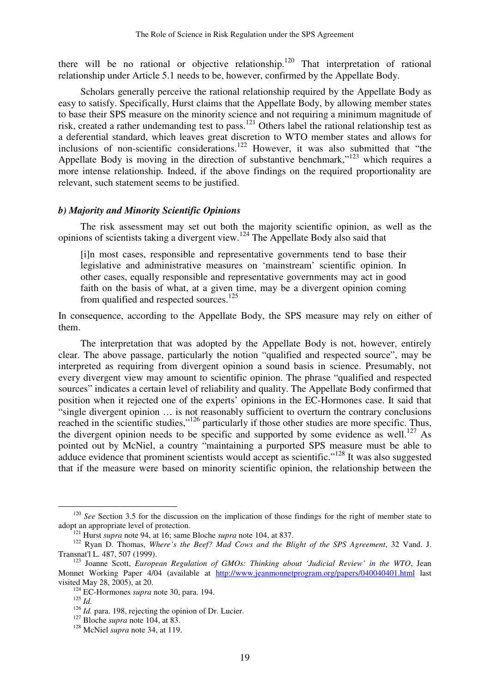there will be no rational or objective relationship.<sup>120</sup> That interpretation of rational relationship under Article 5.1 needs to be, however, confirmed by the Appellate Body.

Scholars generally perceive the rational relationship required by the Appellate Body as easy to satisfy. Specifically, Hurst claims that the Appellate Body, by allowing member states to base their SPS measure on the minority science and not requiring a minimum magnitude of risk, created a rather undemanding test to pass.<sup>121</sup> Others label the rational relationship test as a deferential standard, which leaves great discretion to WTO member states and allows for inclusions of non-scientific considerations.<sup>122</sup> However, it was also submitted that "the Appellate Body is moving in the direction of substantive benchmark," $123$  which requires a more intense relationship. Indeed, if the above findings on the required proportionality are relevant, such statement seems to be justified.

# *b) Majority and Minority Scientific Opinions*

The risk assessment may set out both the majority scientific opinion, as well as the opinions of scientists taking a divergent view.<sup>124</sup> The Appellate Body also said that

[i]n most cases, responsible and representative governments tend to base their legislative and administrative measures on 'mainstream' scientific opinion. In other cases, equally responsible and representative governments may act in good faith on the basis of what, at a given time, may be a divergent opinion coming from qualified and respected sources.<sup>125</sup>

In consequence, according to the Appellate Body, the SPS measure may rely on either of them.

The interpretation that was adopted by the Appellate Body is not, however, entirely clear. The above passage, particularly the notion "qualified and respected source", may be interpreted as requiring from divergent opinion a sound basis in science. Presumably, not every divergent view may amount to scientific opinion. The phrase "qualified and respected sources" indicates a certain level of reliability and quality. The Appellate Body confirmed that position when it rejected one of the experts' opinions in the EC-Hormones case. It said that "single divergent opinion … is not reasonably sufficient to overturn the contrary conclusions reached in the scientific studies,"<sup>126</sup> particularly if those other studies are more specific. Thus, the divergent opinion needs to be specific and supported by some evidence as well.<sup>127</sup> As pointed out by McNiel, a country "maintaining a purported SPS measure must be able to adduce evidence that prominent scientists would accept as scientific."<sup>128</sup> It was also suggested that if the measure were based on minority scientific opinion, the relationship between the

<sup>&</sup>lt;sup>120</sup> *See* Section 3.5 for the discussion on the implication of those findings for the right of member state to adopt an appropriate level of protection.

<sup>121</sup> Hurst *supra* note 94, at 16; same Bloche *supra* note 104, at 837.

<sup>122</sup> Ryan D. Thomas, *Where's the Beef? Mad Cows and the Blight of the SPS Agreement*, 32 Vand. J. Transnat'l L. 487, 507 (1999).

<sup>123</sup> Joanne Scott, *European Regulation of GMOs: Thinking about 'Judicial Review' in the WTO*, Jean Monnet Working Paper 4/04 (available at http://www.jeanmonnetprogram.org/papers/040040401.html last visited May 28, 2005), at 20.

<sup>124</sup> EC-Hormones *supra* note 30, para. 194.

<sup>125</sup> *Id.*

<sup>&</sup>lt;sup>126</sup> *Id.* para. 198, rejecting the opinion of Dr. Lucier.

<sup>127</sup> Bloche *supra* note 104, at 83.

<sup>128</sup> McNiel *supra* note 34, at 119.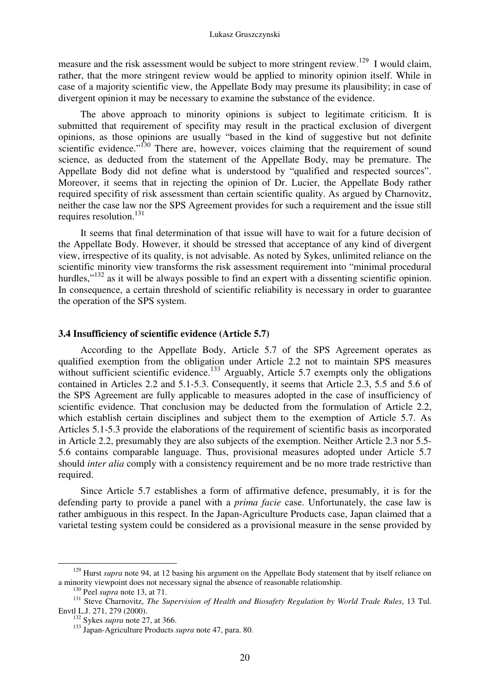measure and the risk assessment would be subject to more stringent review.<sup>129</sup> I would claim, rather, that the more stringent review would be applied to minority opinion itself. While in case of a majority scientific view, the Appellate Body may presume its plausibility; in case of divergent opinion it may be necessary to examine the substance of the evidence.

The above approach to minority opinions is subject to legitimate criticism. It is submitted that requirement of specifity may result in the practical exclusion of divergent opinions, as those opinions are usually "based in the kind of suggestive but not definite scientific evidence."<sup>130</sup> There are, however, voices claiming that the requirement of sound science, as deducted from the statement of the Appellate Body, may be premature. The Appellate Body did not define what is understood by "qualified and respected sources". Moreover, it seems that in rejecting the opinion of Dr. Lucier, the Appellate Body rather required specifity of risk assessment than certain scientific quality. As argued by Charnovitz, neither the case law nor the SPS Agreement provides for such a requirement and the issue still requires resolution.<sup>131</sup>

It seems that final determination of that issue will have to wait for a future decision of the Appellate Body. However, it should be stressed that acceptance of any kind of divergent view, irrespective of its quality, is not advisable. As noted by Sykes, unlimited reliance on the scientific minority view transforms the risk assessment requirement into "minimal procedural hurdles,"<sup>132</sup> as it will be always possible to find an expert with a dissenting scientific opinion. In consequence, a certain threshold of scientific reliability is necessary in order to guarantee the operation of the SPS system.

#### **3.4 Insufficiency of scientific evidence (Article 5.7)**

According to the Appellate Body, Article 5.7 of the SPS Agreement operates as qualified exemption from the obligation under Article 2.2 not to maintain SPS measures without sufficient scientific evidence.<sup>133</sup> Arguably, Article 5.7 exempts only the obligations contained in Articles 2.2 and 5.1-5.3. Consequently, it seems that Article 2.3, 5.5 and 5.6 of the SPS Agreement are fully applicable to measures adopted in the case of insufficiency of scientific evidence. That conclusion may be deducted from the formulation of Article 2.2, which establish certain disciplines and subject them to the exemption of Article 5.7. As Articles 5.1-5.3 provide the elaborations of the requirement of scientific basis as incorporated in Article 2.2, presumably they are also subjects of the exemption. Neither Article 2.3 nor 5.5- 5.6 contains comparable language. Thus, provisional measures adopted under Article 5.7 should *inter alia* comply with a consistency requirement and be no more trade restrictive than required.

Since Article 5.7 establishes a form of affirmative defence, presumably, it is for the defending party to provide a panel with a *prima facie* case. Unfortunately, the case law is rather ambiguous in this respect. In the Japan-Agriculture Products case, Japan claimed that a varietal testing system could be considered as a provisional measure in the sense provided by

<sup>&</sup>lt;sup>129</sup> Hurst *supra* note 94, at 12 basing his argument on the Appellate Body statement that by itself reliance on a minority viewpoint does not necessary signal the absence of reasonable relationship.

<sup>130</sup> Peel *supra* note 13, at 71.

<sup>131</sup> Steve Charnovitz, *The Supervision of Health and Biosafety Regulation by World Trade Rules*, 13 Tul. Envtl L.J. 271, 279 (2000).

<sup>132</sup> Sykes *supra* note 27, at 366.

<sup>133</sup> Japan-Agriculture Products *supra* note 47, para. 80.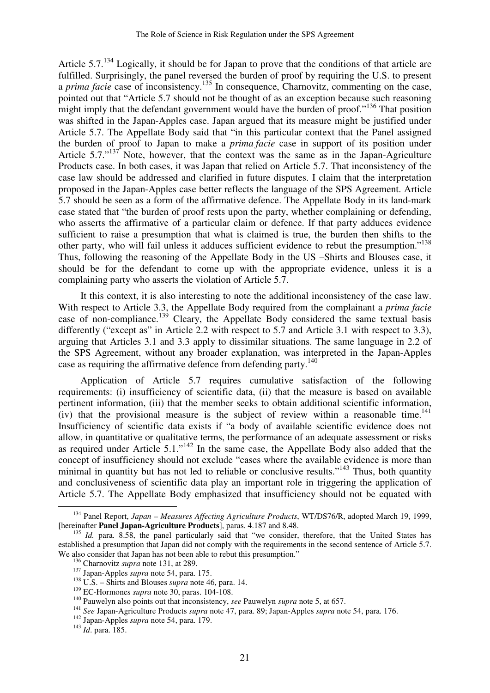Article  $5.7^{134}$  Logically, it should be for Japan to prove that the conditions of that article are fulfilled. Surprisingly, the panel reversed the burden of proof by requiring the U.S. to present a *prima facie* case of inconsistency.<sup>135</sup> In consequence, Charnovitz, commenting on the case, pointed out that "Article 5.7 should not be thought of as an exception because such reasoning might imply that the defendant government would have the burden of proof."<sup>136</sup> That position was shifted in the Japan-Apples case. Japan argued that its measure might be justified under Article 5.7. The Appellate Body said that "in this particular context that the Panel assigned the burden of proof to Japan to make a *prima facie* case in support of its position under Article 5.7."<sup>137</sup> Note, however, that the context was the same as in the Japan-Agriculture Products case. In both cases, it was Japan that relied on Article 5.7. That inconsistency of the case law should be addressed and clarified in future disputes. I claim that the interpretation proposed in the Japan-Apples case better reflects the language of the SPS Agreement. Article 5.7 should be seen as a form of the affirmative defence. The Appellate Body in its land-mark case stated that "the burden of proof rests upon the party, whether complaining or defending, who asserts the affirmative of a particular claim or defence. If that party adduces evidence sufficient to raise a presumption that what is claimed is true, the burden then shifts to the other party, who will fail unless it adduces sufficient evidence to rebut the presumption."<sup>138</sup> Thus, following the reasoning of the Appellate Body in the US –Shirts and Blouses case, it should be for the defendant to come up with the appropriate evidence, unless it is a complaining party who asserts the violation of Article 5.7.

It this context, it is also interesting to note the additional inconsistency of the case law. With respect to Article 3.3, the Appellate Body required from the complainant a *prima facie* case of non-compliance.<sup>139</sup> Cleary, the Appellate Body considered the same textual basis differently ("except as" in Article 2.2 with respect to 5.7 and Article 3.1 with respect to 3.3). arguing that Articles 3.1 and 3.3 apply to dissimilar situations. The same language in 2.2 of the SPS Agreement, without any broader explanation, was interpreted in the Japan-Apples case as requiring the affirmative defence from defending party.<sup>140</sup>

Application of Article 5.7 requires cumulative satisfaction of the following requirements: (i) insufficiency of scientific data, (ii) that the measure is based on available pertinent information, (iii) that the member seeks to obtain additional scientific information, (iv) that the provisional measure is the subject of review within a reasonable time.<sup>141</sup> Insufficiency of scientific data exists if "a body of available scientific evidence does not allow, in quantitative or qualitative terms, the performance of an adequate assessment or risks as required under Article  $5.1$ ."<sup>142</sup> In the same case, the Appellate Body also added that the concept of insufficiency should not exclude "cases where the available evidence is more than minimal in quantity but has not led to reliable or conclusive results."<sup>143</sup> Thus, both quantity and conclusiveness of scientific data play an important role in triggering the application of Article 5.7. The Appellate Body emphasized that insufficiency should not be equated with

<sup>134</sup> Panel Report, *Japan – Measures Affecting Agriculture Products*, WT/DS76/R, adopted March 19, 1999, [hereinafter **Panel Japan-Agriculture Products**], paras. 4.187 and 8.48.

<sup>&</sup>lt;sup>135</sup> *Id.* para. 8.58, the panel particularly said that "we consider, therefore, that the United States has established a presumption that Japan did not comply with the requirements in the second sentence of Article 5.7. We also consider that Japan has not been able to rebut this presumption."

<sup>136</sup> Charnovitz *supra* note 131, at 289.

<sup>137</sup> Japan-Apples *supra* note 54, para. 175.

<sup>138</sup> U.S. – Shirts and Blouses *supra* note 46, para. 14.

<sup>&</sup>lt;sup>139</sup> EC-Hormones *supra* note 30, paras. 104-108.

<sup>&</sup>lt;sup>140</sup> Pauwelyn also points out that inconsistency, *see* Pauwelyn *supra* note 5, at 657.

<sup>141</sup> *See* Japan-Agriculture Products *supra* note 47, para. 89; Japan-Apples *supra* note 54, para. 176.

<sup>142</sup> Japan-Apples *supra* note 54, para. 179.

<sup>143</sup> *Id*. para. 185.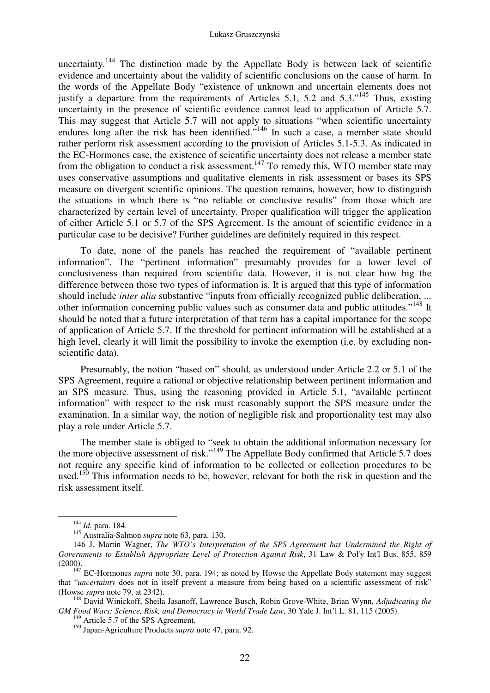uncertainty.<sup>144</sup> The distinction made by the Appellate Body is between lack of scientific evidence and uncertainty about the validity of scientific conclusions on the cause of harm. In the words of the Appellate Body "existence of unknown and uncertain elements does not justify a departure from the requirements of Articles 5.1, 5.2 and 5.3."<sup>145</sup> Thus, existing uncertainty in the presence of scientific evidence cannot lead to application of Article 5.7. This may suggest that Article 5.7 will not apply to situations "when scientific uncertainty endures long after the risk has been identified."<sup>146</sup> In such a case, a member state should rather perform risk assessment according to the provision of Articles 5.1-5.3. As indicated in the EC-Hormones case, the existence of scientific uncertainty does not release a member state from the obligation to conduct a risk assessment.<sup>147</sup> To remedy this, WTO member state may uses conservative assumptions and qualitative elements in risk assessment or bases its SPS measure on divergent scientific opinions. The question remains, however, how to distinguish the situations in which there is "no reliable or conclusive results" from those which are characterized by certain level of uncertainty. Proper qualification will trigger the application of either Article 5.1 or 5.7 of the SPS Agreement. Is the amount of scientific evidence in a particular case to be decisive? Further guidelines are definitely required in this respect.

To date, none of the panels has reached the requirement of "available pertinent information". The "pertinent information" presumably provides for a lower level of conclusiveness than required from scientific data. However, it is not clear how big the difference between those two types of information is. It is argued that this type of information should include *inter alia* substantive "inputs from officially recognized public deliberation, ... other information concerning public values such as consumer data and public attitudes."<sup>148</sup> It should be noted that a future interpretation of that term has a capital importance for the scope of application of Article 5.7. If the threshold for pertinent information will be established at a high level, clearly it will limit the possibility to invoke the exemption (i.e. by excluding nonscientific data).

Presumably, the notion "based on" should, as understood under Article 2.2 or 5.1 of the SPS Agreement, require a rational or objective relationship between pertinent information and an SPS measure. Thus, using the reasoning provided in Article 5.1, "available pertinent information" with respect to the risk must reasonably support the SPS measure under the examination. In a similar way, the notion of negligible risk and proportionality test may also play a role under Article 5.7.

The member state is obliged to "seek to obtain the additional information necessary for the more objective assessment of risk."<sup>149</sup> The Appellate Body confirmed that Article 5.7 does not require any specific kind of information to be collected or collection procedures to be used.<sup>150</sup> This information needs to be, however, relevant for both the risk in question and the risk assessment itself.

-

Article 5.7 of the SPS Agreement.

<sup>144</sup> *Id.* para. 184.

<sup>145</sup> Australia-Salmon *supra* note 63, para. 130.

<sup>146</sup> J. Martin Wagner, *The WTO's Interpretation of the SPS Agreement has Undermined the Right of Governments to Establish Appropriate Level of Protection Against Risk*, 31 Law & Pol'y Int'l Bus. 855, 859 (2000).

<sup>&</sup>lt;sup>147</sup> EC-Hormones *supra* note 30, para. 194; as noted by Howse the Appellate Body statement may suggest that "*uncertainty* does not in itself prevent a measure from being based on a scientific assessment of risk" (Howse *supra* note 79, at 2342).

<sup>148</sup> David Winickoff, Sheila Jasanoff, Lawrence Busch, Robin Grove-White, Brian Wynn, *Adjudicating the GM Food Wars: Science, Risk, and Democracy in World Trade Law*, 30 Yale J. Int'l L. 81, 115 (2005).

<sup>150</sup> Japan-Agriculture Products *supra* note 47, para. 92.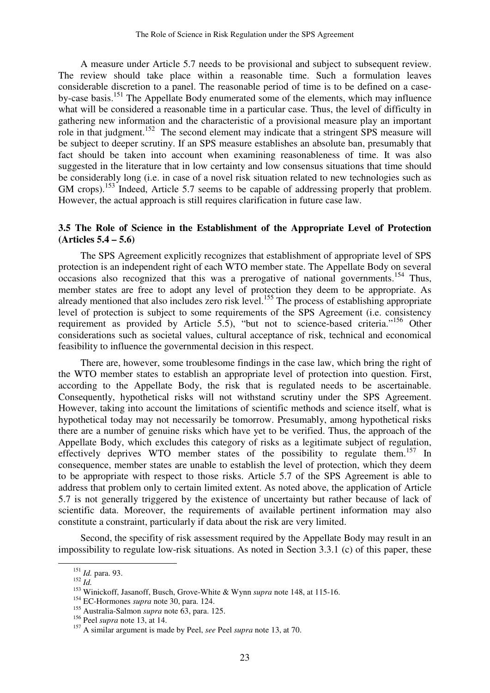A measure under Article 5.7 needs to be provisional and subject to subsequent review. The review should take place within a reasonable time. Such a formulation leaves considerable discretion to a panel. The reasonable period of time is to be defined on a caseby-case basis.<sup>151</sup> The Appellate Body enumerated some of the elements, which may influence what will be considered a reasonable time in a particular case. Thus, the level of difficulty in gathering new information and the characteristic of a provisional measure play an important role in that judgment.<sup>152</sup> The second element may indicate that a stringent SPS measure will be subject to deeper scrutiny. If an SPS measure establishes an absolute ban, presumably that fact should be taken into account when examining reasonableness of time. It was also suggested in the literature that in low certainty and low consensus situations that time should be considerably long (i.e. in case of a novel risk situation related to new technologies such as GM crops).<sup>153</sup> Indeed, Article 5.7 seems to be capable of addressing properly that problem. However, the actual approach is still requires clarification in future case law.

# **3.5 The Role of Science in the Establishment of the Appropriate Level of Protection (Articles 5.4 – 5.6)**

The SPS Agreement explicitly recognizes that establishment of appropriate level of SPS protection is an independent right of each WTO member state. The Appellate Body on several occasions also recognized that this was a prerogative of national governments.<sup>154</sup> Thus, member states are free to adopt any level of protection they deem to be appropriate. As already mentioned that also includes zero risk level.<sup>155</sup> The process of establishing appropriate level of protection is subject to some requirements of the SPS Agreement (i.e. consistency requirement as provided by Article 5.5), "but not to science-based criteria."<sup>156</sup> Other considerations such as societal values, cultural acceptance of risk, technical and economical feasibility to influence the governmental decision in this respect.

There are, however, some troublesome findings in the case law, which bring the right of the WTO member states to establish an appropriate level of protection into question. First, according to the Appellate Body, the risk that is regulated needs to be ascertainable. Consequently, hypothetical risks will not withstand scrutiny under the SPS Agreement. However, taking into account the limitations of scientific methods and science itself, what is hypothetical today may not necessarily be tomorrow. Presumably, among hypothetical risks there are a number of genuine risks which have yet to be verified. Thus, the approach of the Appellate Body, which excludes this category of risks as a legitimate subject of regulation, effectively deprives WTO member states of the possibility to regulate them.<sup>157</sup> In consequence, member states are unable to establish the level of protection, which they deem to be appropriate with respect to those risks. Article 5.7 of the SPS Agreement is able to address that problem only to certain limited extent. As noted above, the application of Article 5.7 is not generally triggered by the existence of uncertainty but rather because of lack of scientific data. Moreover, the requirements of available pertinent information may also constitute a constraint, particularly if data about the risk are very limited.

Second, the specifity of risk assessment required by the Appellate Body may result in an impossibility to regulate low-risk situations. As noted in Section 3.3.1 (c) of this paper, these

<sup>151</sup> *Id.* para. 93.

<sup>152</sup> *Id.*

<sup>153</sup> Winickoff, Jasanoff, Busch, Grove-White & Wynn *supra* note 148, at 115-16.

<sup>154</sup> EC-Hormones *supra* note 30, para. 124.

<sup>155</sup> Australia-Salmon *supra* note 63, para. 125.

<sup>156</sup> Peel *supra* note 13, at 14.

<sup>157</sup> A similar argument is made by Peel, *see* Peel *supra* note 13, at 70.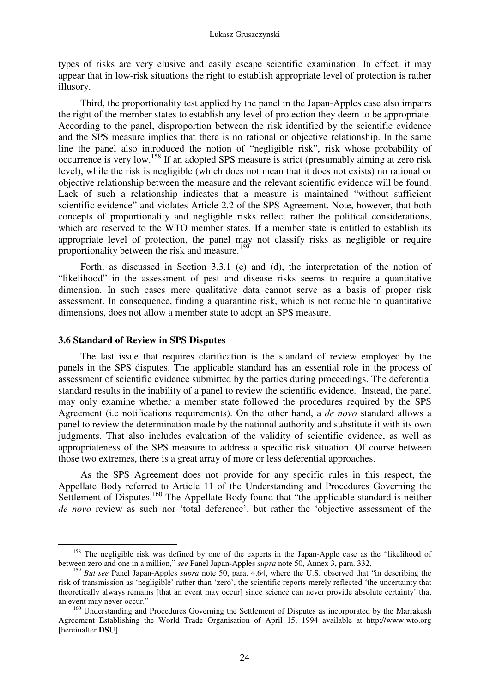#### Lukasz Gruszczynski

types of risks are very elusive and easily escape scientific examination. In effect, it may appear that in low-risk situations the right to establish appropriate level of protection is rather illusory.

Third, the proportionality test applied by the panel in the Japan-Apples case also impairs the right of the member states to establish any level of protection they deem to be appropriate. According to the panel, disproportion between the risk identified by the scientific evidence and the SPS measure implies that there is no rational or objective relationship. In the same line the panel also introduced the notion of "negligible risk", risk whose probability of occurrence is very low.<sup>158</sup> If an adopted SPS measure is strict (presumably aiming at zero risk level), while the risk is negligible (which does not mean that it does not exists) no rational or objective relationship between the measure and the relevant scientific evidence will be found. Lack of such a relationship indicates that a measure is maintained "without sufficient scientific evidence" and violates Article 2.2 of the SPS Agreement. Note, however, that both concepts of proportionality and negligible risks reflect rather the political considerations, which are reserved to the WTO member states. If a member state is entitled to establish its appropriate level of protection, the panel may not classify risks as negligible or require proportionality between the risk and measure.<sup>159</sup>

Forth, as discussed in Section 3.3.1 (c) and (d), the interpretation of the notion of "likelihood" in the assessment of pest and disease risks seems to require a quantitative dimension. In such cases mere qualitative data cannot serve as a basis of proper risk assessment. In consequence, finding a quarantine risk, which is not reducible to quantitative dimensions, does not allow a member state to adopt an SPS measure.

## **3.6 Standard of Review in SPS Disputes**

-

The last issue that requires clarification is the standard of review employed by the panels in the SPS disputes. The applicable standard has an essential role in the process of assessment of scientific evidence submitted by the parties during proceedings. The deferential standard results in the inability of a panel to review the scientific evidence. Instead, the panel may only examine whether a member state followed the procedures required by the SPS Agreement (i.e notifications requirements). On the other hand, a *de novo* standard allows a panel to review the determination made by the national authority and substitute it with its own judgments. That also includes evaluation of the validity of scientific evidence, as well as appropriateness of the SPS measure to address a specific risk situation. Of course between those two extremes, there is a great array of more or less deferential approaches.

As the SPS Agreement does not provide for any specific rules in this respect, the Appellate Body referred to Article 11 of the Understanding and Procedures Governing the Settlement of Disputes.<sup>160</sup> The Appellate Body found that "the applicable standard is neither *de novo* review as such nor 'total deference', but rather the 'objective assessment of the

<sup>&</sup>lt;sup>158</sup> The negligible risk was defined by one of the experts in the Japan-Apple case as the "likelihood of between zero and one in a million," *see* Panel Japan-Apples *supra* note 50, Annex 3, para. 332.

<sup>159</sup> *But see* Panel Japan-Apples *supra* note 50, para. 4.64, where the U.S. observed that "in describing the risk of transmission as 'negligible' rather than 'zero', the scientific reports merely reflected 'the uncertainty that theoretically always remains [that an event may occur] since science can never provide absolute certainty' that an event may never occur."

<sup>&</sup>lt;sup>160</sup> Understanding and Procedures Governing the Settlement of Disputes as incorporated by the Marrakesh Agreement Establishing the World Trade Organisation of April 15, 1994 available at http://www.wto.org [hereinafter **DSU**].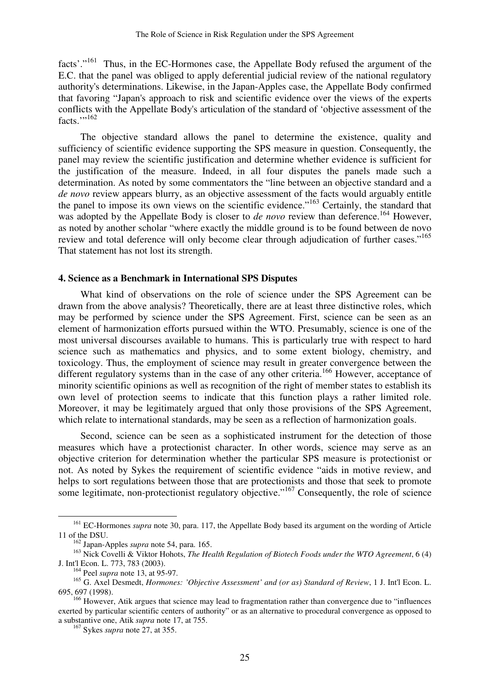facts'."<sup>161</sup> Thus, in the EC-Hormones case, the Appellate Body refused the argument of the E.C. that the panel was obliged to apply deferential judicial review of the national regulatory authority's determinations. Likewise, in the Japan-Apples case, the Appellate Body confirmed that favoring "Japan's approach to risk and scientific evidence over the views of the experts conflicts with the Appellate Body's articulation of the standard of 'objective assessment of the facts." $162$ 

The objective standard allows the panel to determine the existence, quality and sufficiency of scientific evidence supporting the SPS measure in question. Consequently, the panel may review the scientific justification and determine whether evidence is sufficient for the justification of the measure. Indeed, in all four disputes the panels made such a determination. As noted by some commentators the "line between an objective standard and a *de novo* review appears blurry, as an objective assessment of the facts would arguably entitle the panel to impose its own views on the scientific evidence."<sup>163</sup> Certainly, the standard that was adopted by the Appellate Body is closer to *de novo* review than deference.<sup>164</sup> However, as noted by another scholar "where exactly the middle ground is to be found between de novo review and total deference will only become clear through adjudication of further cases."<sup>165</sup> That statement has not lost its strength.

#### **4. Science as a Benchmark in International SPS Disputes**

What kind of observations on the role of science under the SPS Agreement can be drawn from the above analysis? Theoretically, there are at least three distinctive roles, which may be performed by science under the SPS Agreement. First, science can be seen as an element of harmonization efforts pursued within the WTO. Presumably, science is one of the most universal discourses available to humans. This is particularly true with respect to hard science such as mathematics and physics, and to some extent biology, chemistry, and toxicology. Thus, the employment of science may result in greater convergence between the different regulatory systems than in the case of any other criteria.<sup>166</sup> However, acceptance of minority scientific opinions as well as recognition of the right of member states to establish its own level of protection seems to indicate that this function plays a rather limited role. Moreover, it may be legitimately argued that only those provisions of the SPS Agreement, which relate to international standards, may be seen as a reflection of harmonization goals.

Second, science can be seen as a sophisticated instrument for the detection of those measures which have a protectionist character. In other words, science may serve as an objective criterion for determination whether the particular SPS measure is protectionist or not. As noted by Sykes the requirement of scientific evidence "aids in motive review, and helps to sort regulations between those that are protectionists and those that seek to promote some legitimate, non-protectionist regulatory objective."<sup>167</sup> Consequently, the role of science

<sup>&</sup>lt;sup>161</sup> EC-Hormones *supra* note 30, para. 117, the Appellate Body based its argument on the wording of Article 11 of the DSU.

<sup>162</sup> Japan-Apples *supra* note 54, para. 165.

<sup>&</sup>lt;sup>163</sup> Nick Covelli & Viktor Hohots, *The Health Regulation of Biotech Foods under the WTO Agreement*, 6 (4) J. Int'l Econ. L. 773, 783 (2003).

<sup>164</sup> Peel *supra* note 13, at 95-97.

<sup>165</sup> G. Axel Desmedt, *Hormones: 'Objective Assessment' and (or as) Standard of Review*, 1 J. Int'l Econ. L. 695, 697 (1998).

<sup>&</sup>lt;sup>166</sup> However, Atik argues that science may lead to fragmentation rather than convergence due to "influences" exerted by particular scientific centers of authority" or as an alternative to procedural convergence as opposed to a substantive one, Atik *supra* note 17, at 755.

<sup>167</sup> Sykes *supra* note 27, at 355.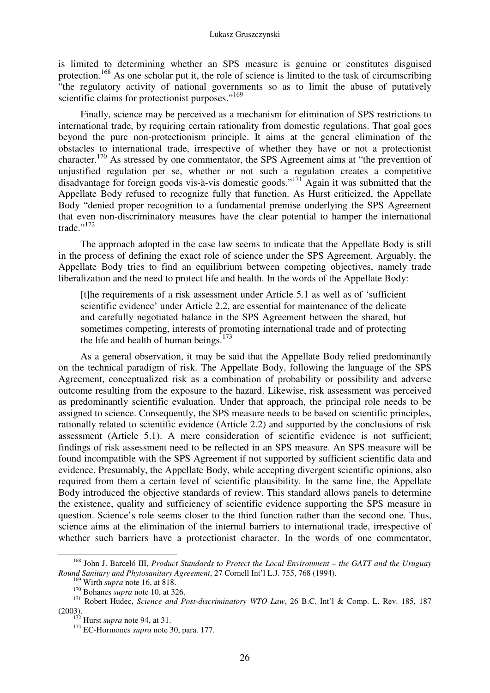is limited to determining whether an SPS measure is genuine or constitutes disguised protection.<sup>168</sup> As one scholar put it, the role of science is limited to the task of circumscribing "the regulatory activity of national governments so as to limit the abuse of putatively scientific claims for protectionist purposes."<sup>169</sup>

Finally, science may be perceived as a mechanism for elimination of SPS restrictions to international trade, by requiring certain rationality from domestic regulations. That goal goes beyond the pure non-protectionism principle. It aims at the general elimination of the obstacles to international trade, irrespective of whether they have or not a protectionist character.<sup>170</sup> As stressed by one commentator, the SPS Agreement aims at "the prevention of unjustified regulation per se, whether or not such a regulation creates a competitive disadvantage for foreign goods vis-à-vis domestic goods."<sup>171</sup> Again it was submitted that the Appellate Body refused to recognize fully that function. As Hurst criticized, the Appellate Body "denied proper recognition to a fundamental premise underlying the SPS Agreement that even non-discriminatory measures have the clear potential to hamper the international trade."<sup>172</sup>

The approach adopted in the case law seems to indicate that the Appellate Body is still in the process of defining the exact role of science under the SPS Agreement. Arguably, the Appellate Body tries to find an equilibrium between competing objectives, namely trade liberalization and the need to protect life and health. In the words of the Appellate Body:

[t]he requirements of a risk assessment under Article 5.1 as well as of 'sufficient scientific evidence' under Article 2.2, are essential for maintenance of the delicate and carefully negotiated balance in the SPS Agreement between the shared, but sometimes competing, interests of promoting international trade and of protecting the life and health of human beings. $173$ 

As a general observation, it may be said that the Appellate Body relied predominantly on the technical paradigm of risk. The Appellate Body, following the language of the SPS Agreement, conceptualized risk as a combination of probability or possibility and adverse outcome resulting from the exposure to the hazard. Likewise, risk assessment was perceived as predominantly scientific evaluation. Under that approach, the principal role needs to be assigned to science. Consequently, the SPS measure needs to be based on scientific principles, rationally related to scientific evidence (Article 2.2) and supported by the conclusions of risk assessment (Article 5.1). A mere consideration of scientific evidence is not sufficient; findings of risk assessment need to be reflected in an SPS measure. An SPS measure will be found incompatible with the SPS Agreement if not supported by sufficient scientific data and evidence. Presumably, the Appellate Body, while accepting divergent scientific opinions, also required from them a certain level of scientific plausibility. In the same line, the Appellate Body introduced the objective standards of review. This standard allows panels to determine the existence, quality and sufficiency of scientific evidence supporting the SPS measure in question. Science's role seems closer to the third function rather than the second one. Thus, science aims at the elimination of the internal barriers to international trade, irrespective of whether such barriers have a protectionist character. In the words of one commentator,

<sup>168</sup> John J. Barceló III, *Product Standards to Protect the Local Environment – the GATT and the Uruguay Round Sanitary and Phytosanitary Agreement*, 27 Cornell Int'l L.J. 755, 768 (1994).

<sup>169</sup> Wirth *supra* note 16, at 818. <sup>170</sup> Bohanes *supra* note 10, at 326.

<sup>&</sup>lt;sup>171</sup> Robert Hudec, *Science and Post-discriminatory WTO Law*, 26 B.C. Int'l & Comp. L. Rev. 185, 187 (2003).

<sup>172</sup> Hurst *supra* note 94, at 31.

<sup>&</sup>lt;sup>173</sup> EC-Hormones *supra* note 30, para. 177.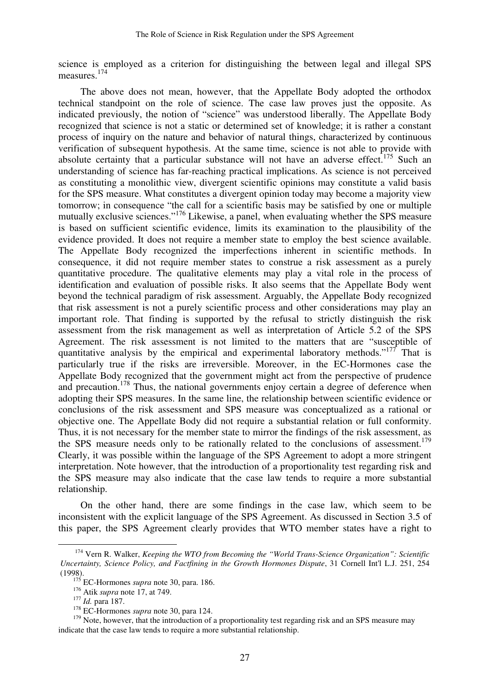science is employed as a criterion for distinguishing the between legal and illegal SPS measures.<sup>174</sup>

The above does not mean, however, that the Appellate Body adopted the orthodox technical standpoint on the role of science. The case law proves just the opposite. As indicated previously, the notion of "science" was understood liberally. The Appellate Body recognized that science is not a static or determined set of knowledge; it is rather a constant process of inquiry on the nature and behavior of natural things, characterized by continuous verification of subsequent hypothesis. At the same time, science is not able to provide with absolute certainty that a particular substance will not have an adverse effect.<sup>175</sup> Such an understanding of science has far-reaching practical implications. As science is not perceived as constituting a monolithic view, divergent scientific opinions may constitute a valid basis for the SPS measure. What constitutes a divergent opinion today may become a majority view tomorrow; in consequence "the call for a scientific basis may be satisfied by one or multiple mutually exclusive sciences."<sup>176</sup> Likewise, a panel, when evaluating whether the SPS measure is based on sufficient scientific evidence, limits its examination to the plausibility of the evidence provided. It does not require a member state to employ the best science available. The Appellate Body recognized the imperfections inherent in scientific methods. In consequence, it did not require member states to construe a risk assessment as a purely quantitative procedure. The qualitative elements may play a vital role in the process of identification and evaluation of possible risks. It also seems that the Appellate Body went beyond the technical paradigm of risk assessment. Arguably, the Appellate Body recognized that risk assessment is not a purely scientific process and other considerations may play an important role. That finding is supported by the refusal to strictly distinguish the risk assessment from the risk management as well as interpretation of Article 5.2 of the SPS Agreement. The risk assessment is not limited to the matters that are "susceptible of quantitative analysis by the empirical and experimental laboratory methods."<sup>177</sup> That is particularly true if the risks are irreversible. Moreover, in the EC-Hormones case the Appellate Body recognized that the government might act from the perspective of prudence and precaution.<sup>178</sup> Thus, the national governments enjoy certain a degree of deference when adopting their SPS measures. In the same line, the relationship between scientific evidence or conclusions of the risk assessment and SPS measure was conceptualized as a rational or objective one. The Appellate Body did not require a substantial relation or full conformity. Thus, it is not necessary for the member state to mirror the findings of the risk assessment, as the SPS measure needs only to be rationally related to the conclusions of assessment.<sup>179</sup> Clearly, it was possible within the language of the SPS Agreement to adopt a more stringent interpretation. Note however, that the introduction of a proportionality test regarding risk and the SPS measure may also indicate that the case law tends to require a more substantial relationship.

On the other hand, there are some findings in the case law, which seem to be inconsistent with the explicit language of the SPS Agreement. As discussed in Section 3.5 of this paper, the SPS Agreement clearly provides that WTO member states have a right to

<sup>174</sup> Vern R. Walker, *Keeping the WTO from Becoming the "World Trans-Science Organization": Scientific Uncertainty, Science Policy, and Factfining in the Growth Hormones Dispute*, 31 Cornell Int'l L.J. 251, 254 (1998).

<sup>&</sup>lt;sup>175</sup> EC-Hormones *supra* note 30, para. 186.

<sup>&</sup>lt;sup>176</sup> Atik *supra* note 17, at 749.

<sup>177</sup> *Id.* para 187.

<sup>&</sup>lt;sup>178</sup> EC-Hormones *supra* note 30, para 124.

<sup>&</sup>lt;sup>179</sup> Note, however, that the introduction of a proportionality test regarding risk and an SPS measure may indicate that the case law tends to require a more substantial relationship.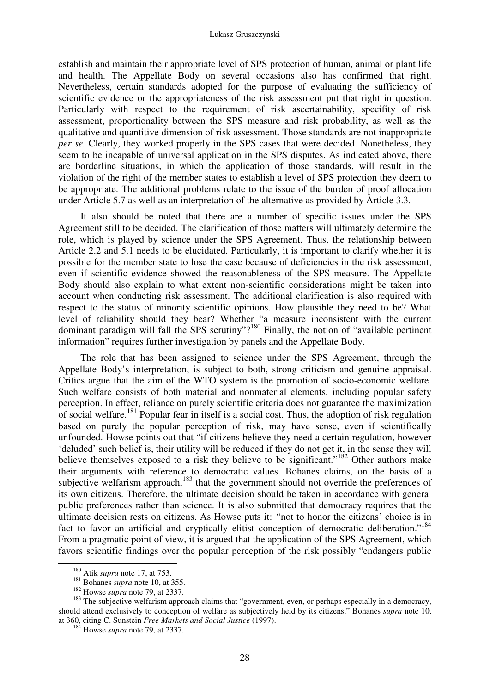establish and maintain their appropriate level of SPS protection of human, animal or plant life and health. The Appellate Body on several occasions also has confirmed that right. Nevertheless, certain standards adopted for the purpose of evaluating the sufficiency of scientific evidence or the appropriateness of the risk assessment put that right in question. Particularly with respect to the requirement of risk ascertainability, specifity of risk assessment, proportionality between the SPS measure and risk probability, as well as the qualitative and quantitive dimension of risk assessment. Those standards are not inappropriate *per se.* Clearly, they worked properly in the SPS cases that were decided. Nonetheless, they seem to be incapable of universal application in the SPS disputes. As indicated above, there are borderline situations, in which the application of those standards, will result in the violation of the right of the member states to establish a level of SPS protection they deem to be appropriate. The additional problems relate to the issue of the burden of proof allocation under Article 5.7 as well as an interpretation of the alternative as provided by Article 3.3.

It also should be noted that there are a number of specific issues under the SPS Agreement still to be decided. The clarification of those matters will ultimately determine the role, which is played by science under the SPS Agreement. Thus, the relationship between Article 2.2 and 5.1 needs to be elucidated. Particularly, it is important to clarify whether it is possible for the member state to lose the case because of deficiencies in the risk assessment, even if scientific evidence showed the reasonableness of the SPS measure. The Appellate Body should also explain to what extent non-scientific considerations might be taken into account when conducting risk assessment. The additional clarification is also required with respect to the status of minority scientific opinions. How plausible they need to be? What level of reliability should they bear? Whether "a measure inconsistent with the current dominant paradigm will fall the SPS scrutiny"?<sup>180</sup> Finally, the notion of "available pertinent" information" requires further investigation by panels and the Appellate Body.

The role that has been assigned to science under the SPS Agreement, through the Appellate Body's interpretation, is subject to both, strong criticism and genuine appraisal. Critics argue that the aim of the WTO system is the promotion of socio-economic welfare. Such welfare consists of both material and nonmaterial elements, including popular safety perception. In effect, reliance on purely scientific criteria does not guarantee the maximization of social welfare.<sup>181</sup> Popular fear in itself is a social cost. Thus, the adoption of risk regulation based on purely the popular perception of risk, may have sense, even if scientifically unfounded. Howse points out that "if citizens believe they need a certain regulation, however 'deluded' such belief is, their utility will be reduced if they do not get it, in the sense they will believe themselves exposed to a risk they believe to be significant."<sup>182</sup> Other authors make their arguments with reference to democratic values. Bohanes claims, on the basis of a subjective welfarism approach, $183$  that the government should not override the preferences of its own citizens. Therefore, the ultimate decision should be taken in accordance with general public preferences rather than science. It is also submitted that democracy requires that the ultimate decision rests on citizens. As Howse puts it: *"*not to honor the citizens' choice is in fact to favor an artificial and cryptically elitist conception of democratic deliberation."<sup>184</sup> From a pragmatic point of view, it is argued that the application of the SPS Agreement, which favors scientific findings over the popular perception of the risk possibly "endangers public

<sup>180</sup> Atik *supra* note 17, at 753.

<sup>181</sup> Bohanes *supra* note 10, at 355.

<sup>182</sup> Howse *supra* note 79, at 2337.

<sup>&</sup>lt;sup>183</sup> The subjective welfarism approach claims that "government, even, or perhaps especially in a democracy, should attend exclusively to conception of welfare as subjectively held by its citizens," Bohanes *supra* note 10, at 360, citing C. Sunstein *Free Markets and Social Justice* (1997).

<sup>184</sup> Howse *supra* note 79, at 2337.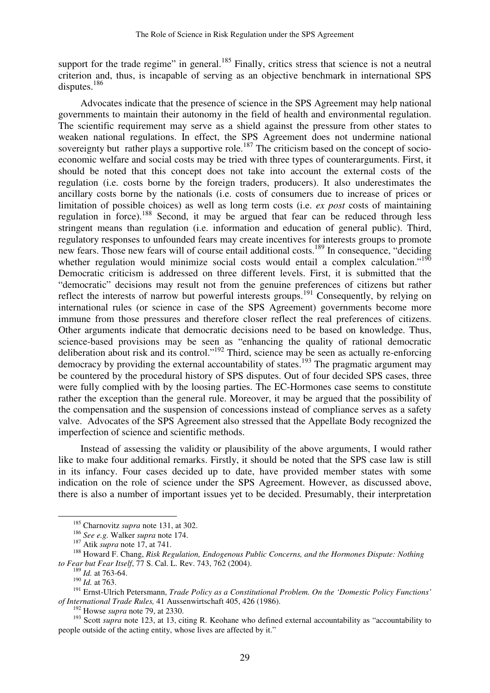support for the trade regime" in general.<sup>185</sup> Finally, critics stress that science is not a neutral criterion and, thus, is incapable of serving as an objective benchmark in international SPS disputes. $186$ 

Advocates indicate that the presence of science in the SPS Agreement may help national governments to maintain their autonomy in the field of health and environmental regulation. The scientific requirement may serve as a shield against the pressure from other states to weaken national regulations. In effect, the SPS Agreement does not undermine national sovereignty but rather plays a supportive role.<sup>187</sup> The criticism based on the concept of socioeconomic welfare and social costs may be tried with three types of counterarguments. First, it should be noted that this concept does not take into account the external costs of the regulation (i.e. costs borne by the foreign traders, producers). It also underestimates the ancillary costs borne by the nationals (i.e. costs of consumers due to increase of prices or limitation of possible choices) as well as long term costs (i.e. *ex post* costs of maintaining regulation in force).<sup>188</sup> Second, it may be argued that fear can be reduced through less stringent means than regulation (i.e. information and education of general public). Third, regulatory responses to unfounded fears may create incentives for interests groups to promote new fears. Those new fears will of course entail additional costs. <sup>189</sup> In consequence, "deciding whether regulation would minimize social costs would entail a complex calculation."<sup>190</sup> Democratic criticism is addressed on three different levels. First, it is submitted that the "democratic" decisions may result not from the genuine preferences of citizens but rather reflect the interests of narrow but powerful interests groups.<sup>191</sup> Consequently, by relying on international rules (or science in case of the SPS Agreement) governments become more immune from those pressures and therefore closer reflect the real preferences of citizens. Other arguments indicate that democratic decisions need to be based on knowledge. Thus, science-based provisions may be seen as "enhancing the quality of rational democratic deliberation about risk and its control."<sup>192</sup> Third, science may be seen as actually re-enforcing democracy by providing the external accountability of states.<sup>193</sup> The pragmatic argument may be countered by the procedural history of SPS disputes. Out of four decided SPS cases, three were fully complied with by the loosing parties. The EC-Hormones case seems to constitute rather the exception than the general rule. Moreover, it may be argued that the possibility of the compensation and the suspension of concessions instead of compliance serves as a safety valve. Advocates of the SPS Agreement also stressed that the Appellate Body recognized the imperfection of science and scientific methods.

Instead of assessing the validity or plausibility of the above arguments, I would rather like to make four additional remarks. Firstly, it should be noted that the SPS case law is still in its infancy. Four cases decided up to date, have provided member states with some indication on the role of science under the SPS Agreement. However, as discussed above, there is also a number of important issues yet to be decided. Presumably, their interpretation

<sup>185</sup> Charnovitz *supra* note 131, at 302.

<sup>186</sup> *See e.g.* Walker *supra* note 174.

<sup>187</sup> Atik *supra* note 17, at 741.

<sup>188</sup> Howard F. Chang, *Risk Regulation, Endogenous Public Concerns, and the Hormones Dispute: Nothing to Fear but Fear Itself*, 77 S. Cal. L. Rev. 743, 762 (2004).

<sup>189</sup> *Id.* at 763-64.

<sup>190</sup> *Id.* at 763.

<sup>191</sup> Ernst-Ulrich Petersmann, *Trade Policy as a Constitutional Problem. On the 'Domestic Policy Functions' of International Trade Rules,* 41 Aussenwirtschaft 405, 426 (1986).

<sup>192</sup> Howse *supra* note 79, at 2330.

<sup>&</sup>lt;sup>193</sup> Scott *supra* note 123, at 13, citing R. Keohane who defined external accountability as "accountability to people outside of the acting entity, whose lives are affected by it."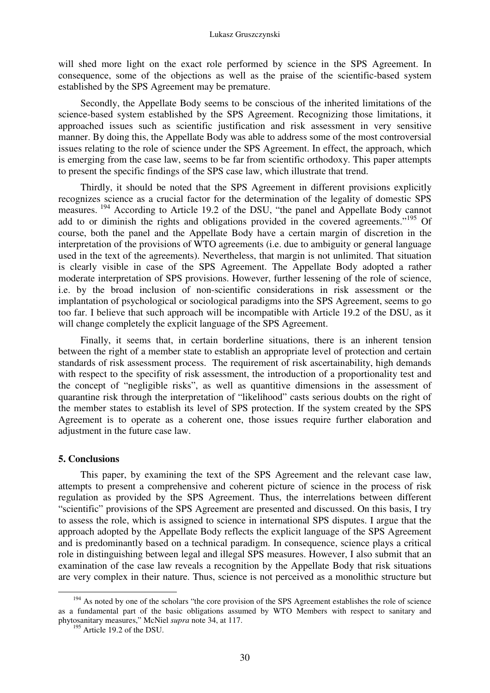will shed more light on the exact role performed by science in the SPS Agreement. In consequence, some of the objections as well as the praise of the scientific-based system established by the SPS Agreement may be premature.

Secondly, the Appellate Body seems to be conscious of the inherited limitations of the science-based system established by the SPS Agreement. Recognizing those limitations, it approached issues such as scientific justification and risk assessment in very sensitive manner. By doing this, the Appellate Body was able to address some of the most controversial issues relating to the role of science under the SPS Agreement. In effect, the approach, which is emerging from the case law, seems to be far from scientific orthodoxy. This paper attempts to present the specific findings of the SPS case law, which illustrate that trend.

Thirdly, it should be noted that the SPS Agreement in different provisions explicitly recognizes science as a crucial factor for the determination of the legality of domestic SPS measures.<sup>194</sup> According to Article 19.2 of the DSU, "the panel and Appellate Body cannot add to or diminish the rights and obligations provided in the covered agreements."<sup>195</sup> Of course, both the panel and the Appellate Body have a certain margin of discretion in the interpretation of the provisions of WTO agreements (i.e. due to ambiguity or general language used in the text of the agreements). Nevertheless, that margin is not unlimited. That situation is clearly visible in case of the SPS Agreement. The Appellate Body adopted a rather moderate interpretation of SPS provisions. However, further lessening of the role of science, i.e. by the broad inclusion of non-scientific considerations in risk assessment or the implantation of psychological or sociological paradigms into the SPS Agreement, seems to go too far. I believe that such approach will be incompatible with Article 19.2 of the DSU, as it will change completely the explicit language of the SPS Agreement.

Finally, it seems that, in certain borderline situations, there is an inherent tension between the right of a member state to establish an appropriate level of protection and certain standards of risk assessment process. The requirement of risk ascertainability, high demands with respect to the specifity of risk assessment, the introduction of a proportionality test and the concept of "negligible risks", as well as quantitive dimensions in the assessment of quarantine risk through the interpretation of "likelihood" casts serious doubts on the right of the member states to establish its level of SPS protection. If the system created by the SPS Agreement is to operate as a coherent one, those issues require further elaboration and adjustment in the future case law.

# **5. Conclusions**

This paper, by examining the text of the SPS Agreement and the relevant case law, attempts to present a comprehensive and coherent picture of science in the process of risk regulation as provided by the SPS Agreement. Thus, the interrelations between different "scientific" provisions of the SPS Agreement are presented and discussed. On this basis, I try to assess the role, which is assigned to science in international SPS disputes. I argue that the approach adopted by the Appellate Body reflects the explicit language of the SPS Agreement and is predominantly based on a technical paradigm. In consequence, science plays a critical role in distinguishing between legal and illegal SPS measures. However, I also submit that an examination of the case law reveals a recognition by the Appellate Body that risk situations are very complex in their nature. Thus, science is not perceived as a monolithic structure but

<sup>-</sup><sup>194</sup> As noted by one of the scholars "the core provision of the SPS Agreement establishes the role of science as a fundamental part of the basic obligations assumed by WTO Members with respect to sanitary and phytosanitary measures," McNiel *supra* note 34, at 117.

<sup>&</sup>lt;sup>195</sup> Article 19.2 of the DSU.